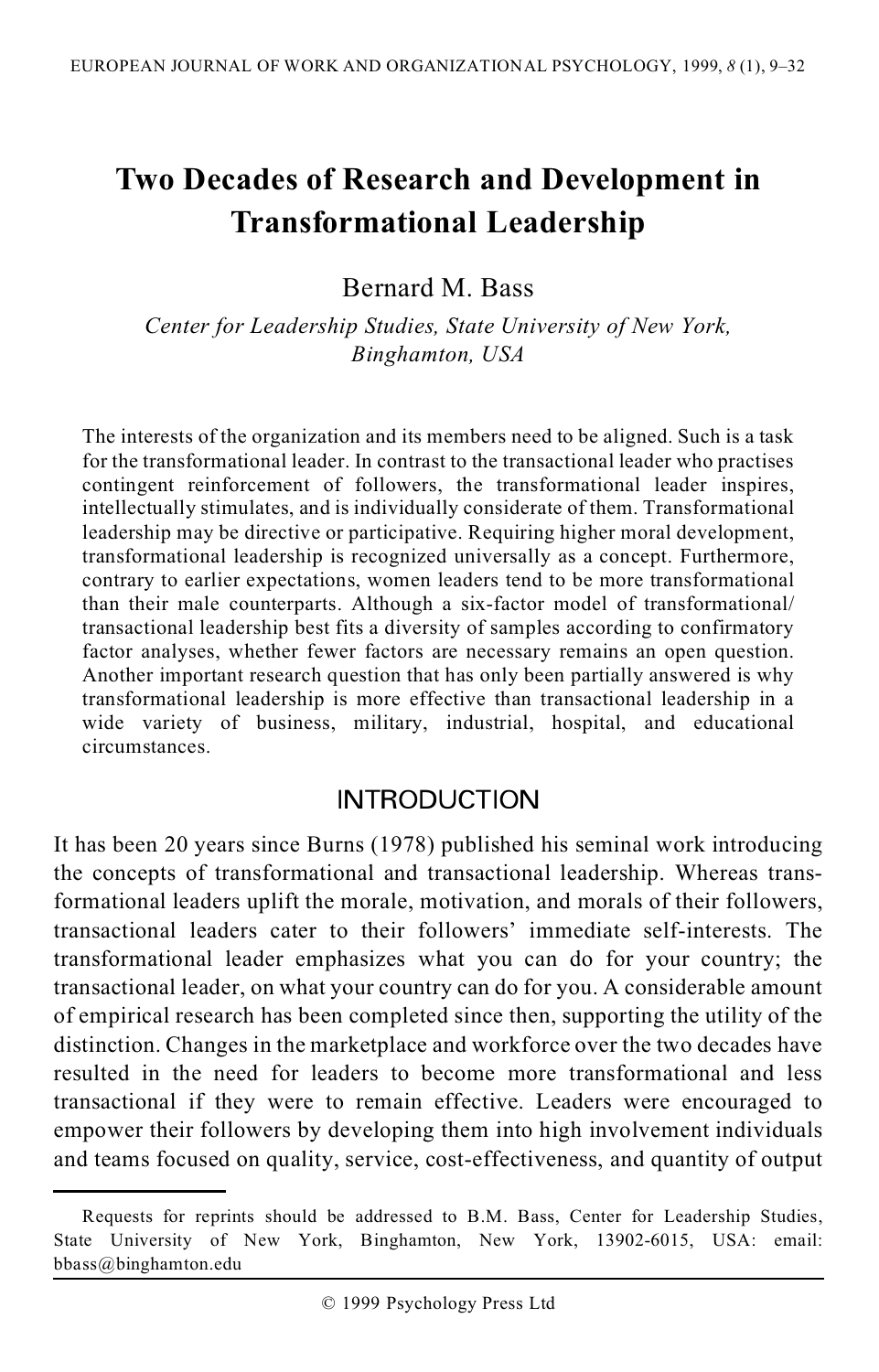# **Two Decades of Research and Development in Transformational Leadership**

Bernard M. Bass

*Center for Leadership Studies, State University of New York, Binghamton, USA*

The interests of the organization and its members need to be aligned. Such is a task for the transformational leader. In contrast to the transactional leader who practises contingent reinforcement of followers, the transformational leader inspires, intellectually stimulates, and is individually considerate of them. Transformational leadership may be directive or participative. Requiring higher moral development, transformational leadership is recognized universally as a concept. Furthermore, contrary to earlier expectations, women leaders tend to be more transformational than their male counterparts. Although a six-factor model of transformational/ transactional leadership best fits a diversity of samples according to confirmatory factor analyses, whether fewer factors are necessary remains an open question. Another important research question that has only been partially answered is why transformational leadership is more effective than transactional leadership in a wide variety of business, military, industrial, hospital, and educational circumstances.

### **INTRODUCTION**

It has been 20 years since Burns (1978) published his seminal work introducing the concepts of transformational and transactional leadership. Whereas transformational leaders uplift the morale, motivation, and morals of their followers, transactional leaders cater to their followers' immediate self-interests. The transformational leader emphasizes what you can do for your country; the transactional leader, on what your country can do for you. A considerable amount of empirical research has been completed since then, supporting the utility of the distinction. Changes in the marketplace and workforce over the two decades have resulted in the need for leaders to become more transformational and less transactional if they were to remain effective. Leaders were encouraged to empower their followers by developing them into high involvement individuals and teams focused on quality, service, cost-effectiveness, and quantity of output

Requests for reprints should be addressed to B.M. Bass, Center for Leadership Studies, State University of New York, Binghamton, New York, 13902-6015, USA: email: bbass@binghamton.edu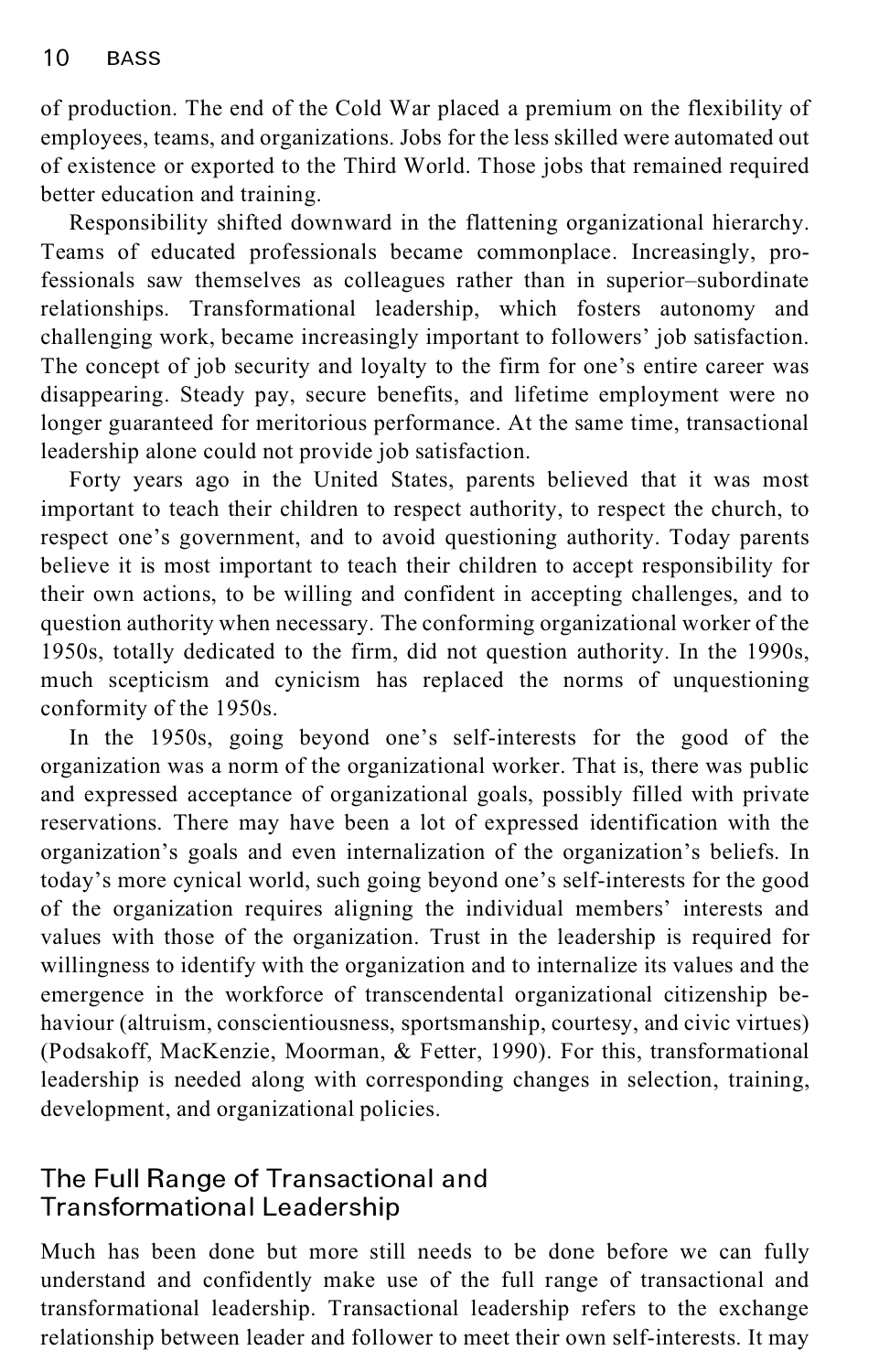of production. The end of the Cold War placed a premium on the flexibility of employees, teams, and organizations. Jobs for the less skilled were automated out of existence or exported to the Third World. Those jobs that remained required better education and training.

Responsibility shifted downward in the flattening organizational hierarchy. Teams of educated professionals became commonplace. Increasingly, professionals saw themselves as colleagues rather than in superior–subordinate relationships. Transformational leadership, which fosters autonomy and challenging work, became increasingly important to followers' job satisfaction. The concept of job security and loyalty to the firm for one's entire career was disappearing. Steady pay, secure benefits, and lifetime employment were no longer guaranteed for meritorious performance. At the same time, transactional leadership alone could not provide job satisfaction.

Forty years ago in the United States, parents believed that it was most important to teach their children to respect authority, to respect the church, to respect one's government, and to avoid questioning authority. Today parents believe it is most important to teach their children to accept responsibility for their own actions, to be willing and confident in accepting challenges, and to question authority when necessary. The conforming organizational worker of the 1950s, totally dedicated to the firm, did not question authority. In the 1990s, much scepticism and cynicism has replaced the norms of unquestioning conformity of the 1950s.

In the 1950s, going beyond one's self-interests for the good of the organization was a norm of the organizational worker. That is, there was public and expressed acceptance of organizational goals, possibly filled with private reservations. There may have been a lot of expressed identification with the organization's goals and even internalization of the organization's beliefs. In today's more cynical world, such going beyond one's self-interests for the good of the organization requires aligning the individual members' interests and values with those of the organization. Trust in the leadership is required for willingness to identify with the organization and to internalize its values and the emergence in the workforce of transcendental organizational citizenship behaviour (altruism, conscientiousness, sportsmanship, courtesy, and civic virtues) (Podsakoff, MacKenzie, Moorman, & Fetter, 1990). For this, transformational leadership is needed along with corresponding changes in selection, training, development, and organizational policies.

#### The Full Range of Transactional and Transformational Leadership

Much has been done but more still needs to be done before we can fully understand and confidently make use of the full range of transactional and transformational leadership. Transactional leadership refers to the exchange relationship between leader and follower to meet their own self-interests. It may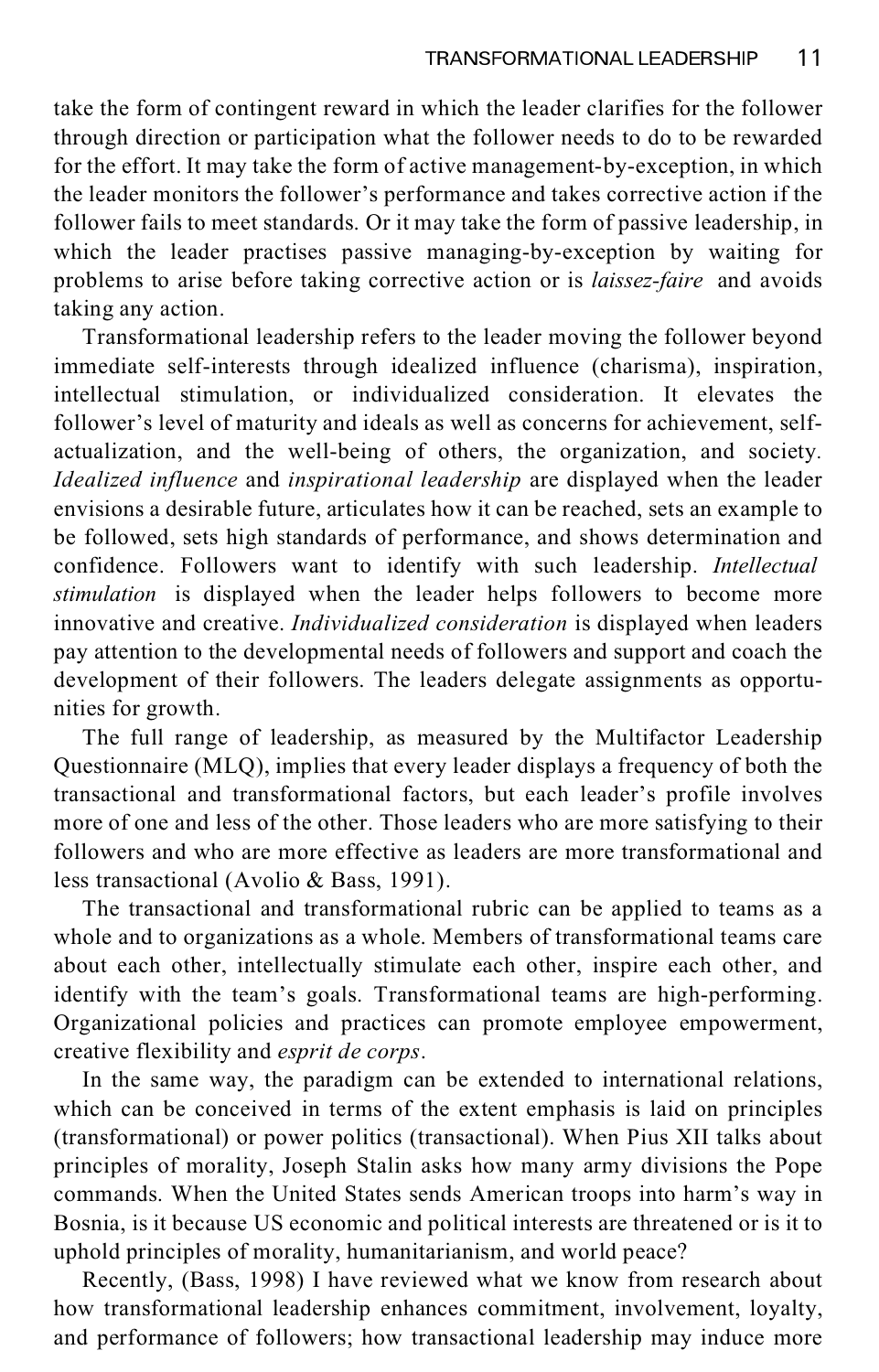take the form of contingent reward in which the leader clarifies for the follower through direction or participation what the follower needs to do to be rewarded for the effort. It may take the form of active management-by-exception, in which the leader monitors the follower's performance and takes corrective action if the follower fails to meet standards. Or it may take the form of passive leadership, in which the leader practises passive managing-by-exception by waiting for problems to arise before taking corrective action or is *laissez-faire* and avoids taking any action.

Transformational leadership refers to the leader moving the follower beyond immediate self-interests through idealized influence (charisma), inspiration, intellectual stimulation, or individualized consideration. It elevates the follower's level of maturity and ideals as well as concerns for achievement, selfactualization, and the well-being of others, the organization, and society*. Idealized influence* and *inspirational leadership* are displayed when the leader envisions a desirable future, articulates how it can be reached, sets an example to be followed, sets high standards of performance, and shows determination and confidence. Followers want to identify with such leadership. *Intellectual stimulation* is displayed when the leader helps followers to become more innovative and creative. *Individualized consideration* is displayed when leaders pay attention to the developmental needs of followers and support and coach the development of their followers. The leaders delegate assignments as opportunities for growth.

The full range of leadership, as measured by the Multifactor Leadership Questionnaire (MLQ), implies that every leader displays a frequency of both the transactional and transformational factors, but each leader's profile involves more of one and less of the other. Those leaders who are more satisfying to their followers and who are more effective as leaders are more transformational and less transactional (Avolio & Bass, 1991).

The transactional and transformational rubric can be applied to teams as a whole and to organizations as a whole. Members of transformational teams care about each other, intellectually stimulate each other, inspire each other, and identify with the team's goals. Transformational teams are high-performing. Organizational policies and practices can promote employee empowerment, creative flexibility and *esprit de corps*.

In the same way, the paradigm can be extended to international relations, which can be conceived in terms of the extent emphasis is laid on principles (transformational) or power politics (transactional). When Pius XII talks about principles of morality, Joseph Stalin asks how many army divisions the Pope commands. When the United States sends American troops into harm's way in Bosnia, is it because US economic and political interests are threatened or is it to uphold principles of morality, humanitarianism, and world peace?

Recently, (Bass, 1998) I have reviewed what we know from research about how transformational leadership enhances commitment, involvement, loyalty, and performance of followers; how transactional leadership may induce more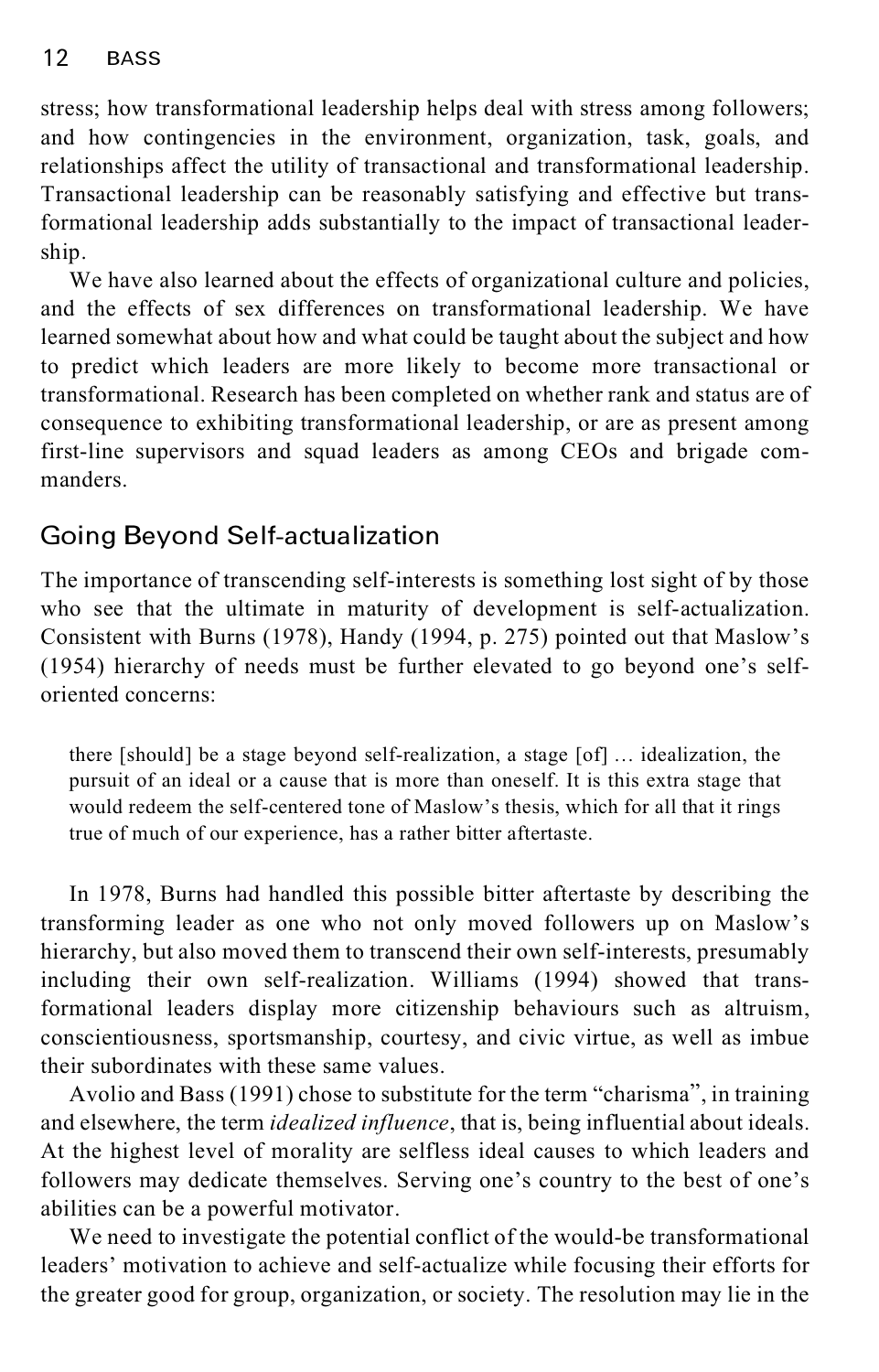stress; how transformational leadership helps deal with stress among followers; and how contingencies in the environment, organization, task, goals, and relationships affect the utility of transactional and transformational leadership. Transactional leadership can be reasonably satisfying and effective but transformational leadership adds substantially to the impact of transactional leadership.

We have also learned about the effects of organizational culture and policies, and the effects of sex differences on transformational leadership. We have learned somewhat about how and what could be taught about the subject and how to predict which leaders are more likely to become more transactional or transformational. Research has been completed on whether rank and status are of consequence to exhibiting transformational leadership, or are as present among first-line supervisors and squad leaders as among CEOs and brigade commanders.

## Going Beyond Self-actualization

The importance of transcending self-interests is something lost sight of by those who see that the ultimate in maturity of development is self-actualization. Consistent with Burns (1978), Handy (1994, p. 275) pointed out that Maslow's (1954) hierarchy of needs must be further elevated to go beyond one's selforiented concerns:

there [should] be a stage beyond self-realization, a stage [of] … idealization, the pursuit of an ideal or a cause that is more than oneself. It is this extra stage that would redeem the self-centered tone of Maslow's thesis, which for all that it rings true of much of our experience, has a rather bitter aftertaste.

In 1978, Burns had handled this possible bitter aftertaste by describing the transforming leader as one who not only moved followers up on Maslow's hierarchy, but also moved them to transcend their own self-interests, presumably including their own self-realization. Williams (1994) showed that transformational leaders display more citizenship behaviours such as altruism, conscientiousness, sportsmanship, courtesy, and civic virtue, as well as imbue their subordinates with these same values.

Avolio and Bass (1991) chose to substitute for the term "charisma", in training and elsewhere, the term *idealized influence*, that is, being influential about ideals. At the highest level of morality are selfless ideal causes to which leaders and followers may dedicate themselves. Serving one's country to the best of one's abilities can be a powerful motivator.

We need to investigate the potential conflict of the would-be transformational leaders' motivation to achieve and self-actualize while focusing their efforts for the greater good for group, organization, or society. The resolution may lie in the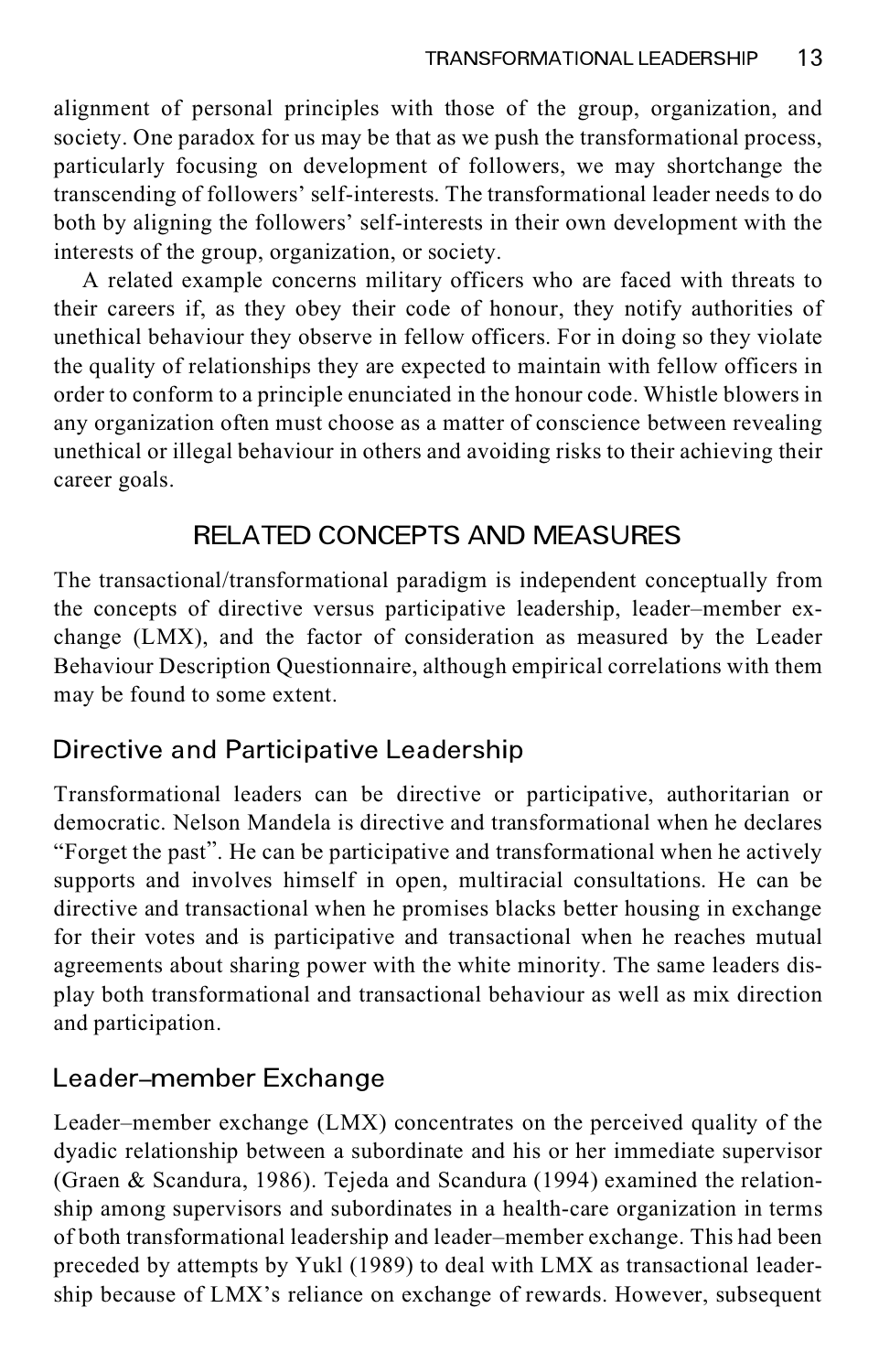alignment of personal principles with those of the group, organization, and society. One paradox for us may be that as we push the transformational process, particularly focusing on development of followers, we may shortchange the transcending of followers' self-interests. The transformational leader needs to do both by aligning the followers' self-interests in their own development with the interests of the group, organization, or society.

A related example concerns military officers who are faced with threats to their careers if, as they obey their code of honour, they notify authorities of unethical behaviour they observe in fellow officers. For in doing so they violate the quality of relationships they are expected to maintain with fellow officers in order to conform to a principle enunciated in the honour code. Whistle blowers in any organization often must choose as a matter of conscience between revealing unethical or illegal behaviour in others and avoiding risks to their achieving their career goals.

### RELATED CONCEPTS AND MEASURES

The transactional/transformational paradigm is independent conceptually from the concepts of directive versus participative leadership, leader–member exchange (LMX), and the factor of consideration as measured by the Leader Behaviour Description Questionnaire, although empirical correlations with them may be found to some extent.

### Directive and Participative Leadership

Transformational leaders can be directive or participative, authoritarian or democratic. Nelson Mandela is directive and transformational when he declares "Forget the past". He can be participative and transformational when he actively supports and involves himself in open, multiracial consultations. He can be directive and transactional when he promises blacks better housing in exchange for their votes and is participative and transactional when he reaches mutual agreements about sharing power with the white minority. The same leaders display both transformational and transactional behaviour as well as mix direction and participation.

### Leader-member Exchange

Leader–member exchange (LMX) concentrates on the perceived quality of the dyadic relationship between a subordinate and his or her immediate supervisor (Graen & Scandura, 1986). Tejeda and Scandura (1994) examined the relationship among supervisors and subordinates in a health-care organization in terms of both transformational leadership and leader–member exchange. This had been preceded by attempts by Yukl (1989) to deal with LMX as transactional leadership because of LMX's reliance on exchange of rewards. However, subsequent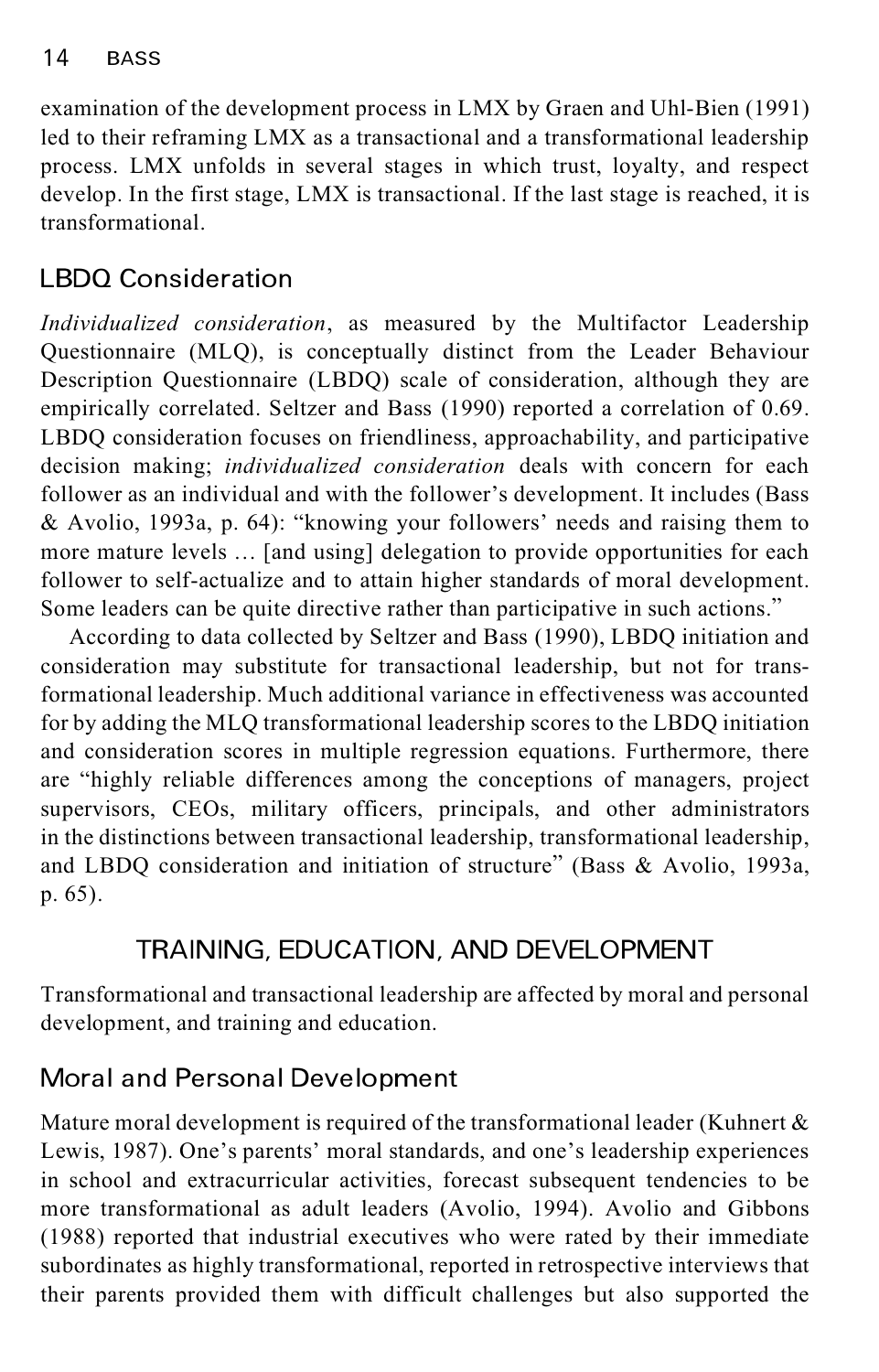examination of the development process in LMX by Graen and Uhl-Bien (1991) led to their reframing LMX as a transactional and a transformational leadership process. LMX unfolds in several stages in which trust, loyalty, and respect develop. In the first stage, LMX is transactional. If the last stage is reached, it is transformational.

## LBDQ Consideration

*Individualized consideration*, as measured by the Multifactor Leadership Questionnaire (MLQ), is conceptually distinct from the Leader Behaviour Description Questionnaire (LBDQ) scale of consideration, although they are empirically correlated. Seltzer and Bass (1990) reported a correlation of 0.69. LBDQ consideration focuses on friendliness, approachability, and participative decision making; *individualized consideration* deals with concern for each follower as an individual and with the follower's development. It includes (Bass & Avolio, 1993a, p. 64): "knowing your followers' needs and raising them to more mature levels … [and using] delegation to provide opportunities for each follower to self-actualize and to attain higher standards of moral development. Some leaders can be quite directive rather than participative in such actions."

According to data collected by Seltzer and Bass (1990), LBDQ initiation and consideration may substitute for transactional leadership, but not for transformational leadership. Much additional variance in effectiveness was accounted for by adding the MLQ transformational leadership scores to the LBDQ initiation and consideration scores in multiple regression equations. Furthermore, there are "highly reliable differences among the conceptions of managers, project supervisors, CEOs, military officers, principals, and other administrators in the distinctions between transactional leadership, transformational leadership, and LBDQ consideration and initiation of structure" (Bass & Avolio, 1993a, p. 65).

## TRAINING, EDUCATION, AND DEVELOPMENT

Transformational and transactional leadership are affected by moral and personal development, and training and education.

## Moral and Personal Development

Mature moral development is required of the transformational leader (Kuhnert  $\&$ Lewis, 1987). One's parents' moral standards, and one's leadership experiences in school and extracurricular activities, forecast subsequent tendencies to be more transformational as adult leaders (Avolio, 1994). Avolio and Gibbons (1988) reported that industrial executives who were rated by their immediate subordinates as highly transformational, reported in retrospective interviews that their parents provided them with difficult challenges but also supported the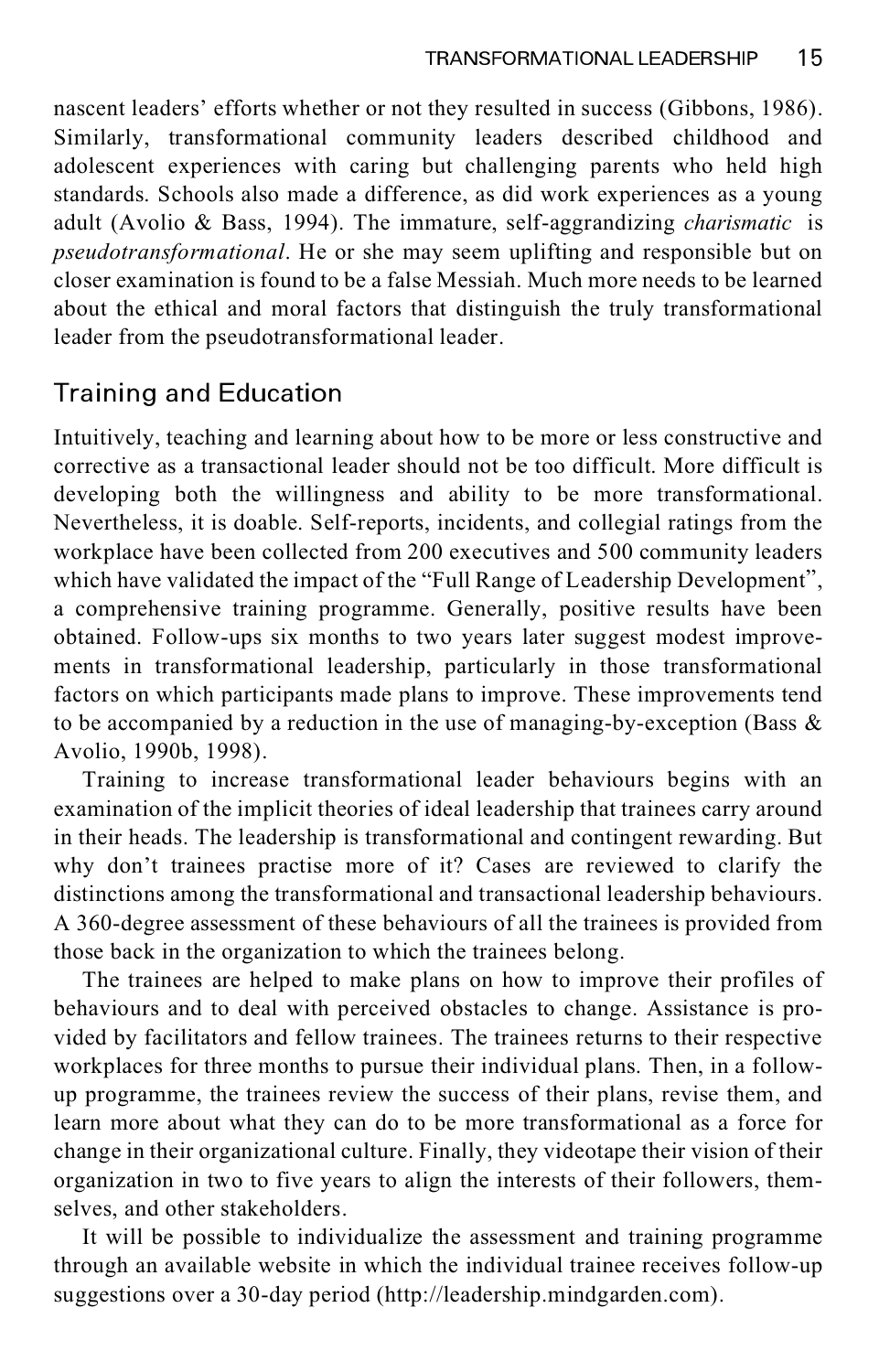nascent leaders' efforts whether or not they resulted in success (Gibbons, 1986). Similarly, transformational community leaders described childhood and adolescent experiences with caring but challenging parents who held high standards. Schools also made a difference, as did work experiences as a young adult (Avolio & Bass, 1994). The immature, self-aggrandizing *charismatic* is *pseudotransformational*. He or she may seem uplifting and responsible but on closer examination is found to be a false Messiah. Much more needs to be learned about the ethical and moral factors that distinguish the truly transformational leader from the pseudotransformational leader.

#### Training and Education

Intuitively, teaching and learning about how to be more or less constructive and corrective as a transactional leader should not be too difficult. More difficult is developing both the willingness and ability to be more transformational. Nevertheless, it is doable. Self-reports, incidents, and collegial ratings from the workplace have been collected from 200 executives and 500 community leaders which have validated the impact of the "Full Range of Leadership Development", a comprehensive training programme. Generally, positive results have been obtained. Follow-ups six months to two years later suggest modest improvements in transformational leadership, particularly in those transformational factors on which participants made plans to improve. These improvements tend to be accompanied by a reduction in the use of managing-by-exception (Bass & Avolio, 1990b, 1998).

Training to increase transformational leader behaviours begins with an examination of the implicit theories of ideal leadership that trainees carry around in their heads. The leadership is transformational and contingent rewarding. But why don't trainees practise more of it? Cases are reviewed to clarify the distinctions among the transformational and transactional leadership behaviours. A 360-degree assessment of these behaviours of all the trainees is provided from those back in the organization to which the trainees belong.

The trainees are helped to make plans on how to improve their profiles of behaviours and to deal with perceived obstacles to change. Assistance is provided by facilitators and fellow trainees. The trainees returns to their respective workplaces for three months to pursue their individual plans. Then, in a followup programme, the trainees review the success of their plans, revise them, and learn more about what they can do to be more transformational as a force for change in their organizational culture. Finally, they videotape their vision of their organization in two to five years to align the interests of their followers, themselves, and other stakeholders.

It will be possible to individualize the assessment and training programme through an available website in which the individual trainee receives follow-up suggestions over a 30-day period (http://leadership.mindgarden.com).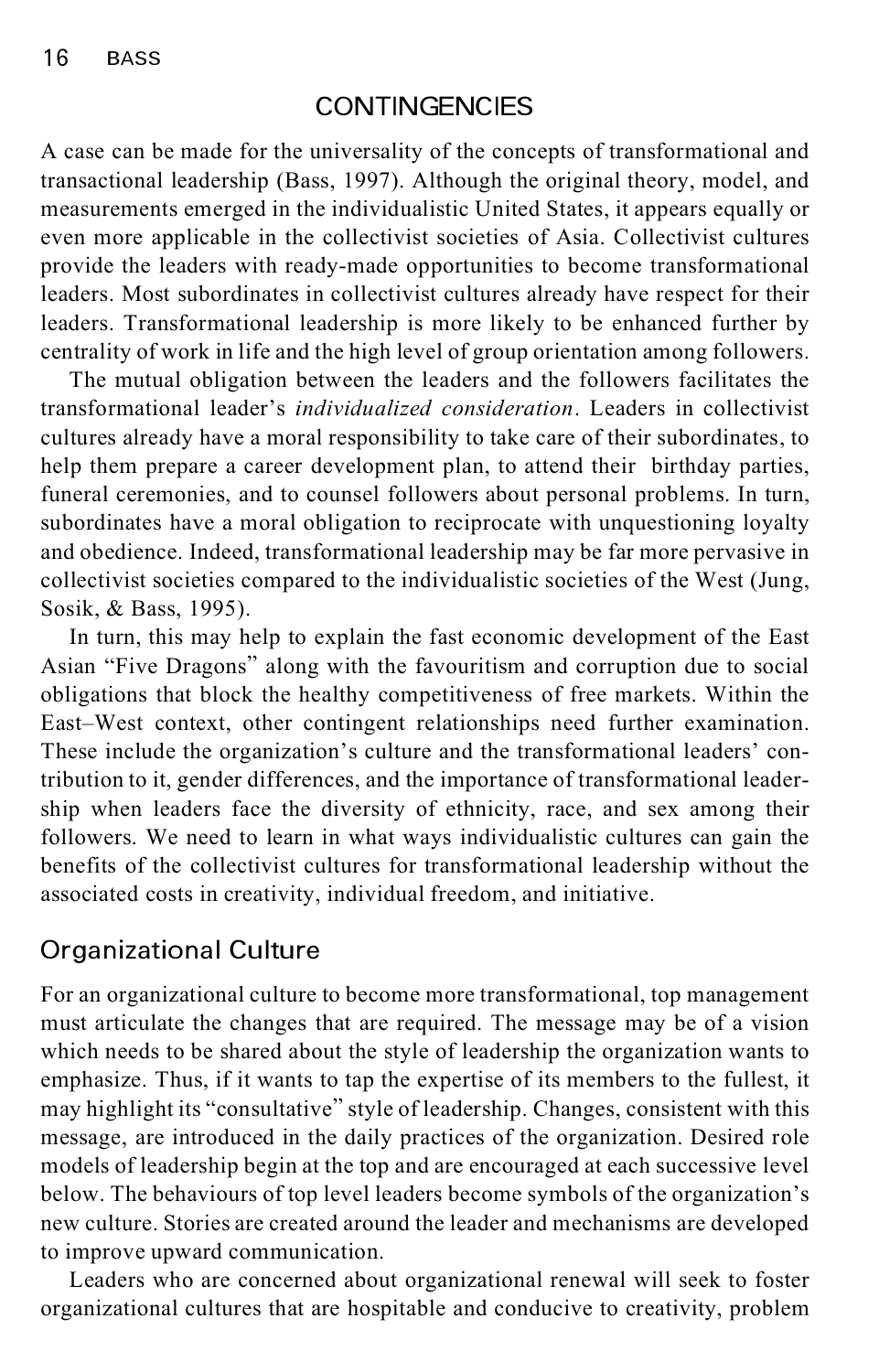#### **CONTINGENCIES**

A case can be made for the universality of the concepts of transformational and transactional leadership (Bass, 1997). Although the original theory, model, and measurements emerged in the individualistic United States, it appears equally or even more applicable in the collectivist societies of Asia. Collectivist cultures provide the leaders with ready-made opportunities to become transformational leaders. Most subordinates in collectivist cultures already have respect for their leaders. Transformational leadership is more likely to be enhanced further by centrality of work in life and the high level of group orientation among followers.

The mutual obligation between the leaders and the followers facilitates the transformational leader's *individualized consideration*. Leaders in collectivist cultures already have a moral responsibility to take care of their subordinates, to help them prepare a career development plan, to attend their birthday parties, funeral ceremonies, and to counsel followers about personal problems. In turn, subordinates have a moral obligation to reciprocate with unquestioning loyalty and obedience. Indeed, transformational leadership may be far more pervasive in collectivist societies compared to the individualistic societies of the West (Jung, Sosik, & Bass, 1995).

In turn, this may help to explain the fast economic development of the East Asian "Five Dragons" along with the favouritism and corruption due to social obligations that block the healthy competitiveness of free markets. Within the East–West context, other contingent relationships need further examination. These include the organization's culture and the transformational leaders' contribution to it, gender differences, and the importance of transformational leadership when leaders face the diversity of ethnicity, race, and sex among their followers. We need to learn in what ways individualistic cultures can gain the benefits of the collectivist cultures for transformational leadership without the associated costs in creativity, individual freedom, and initiative.

#### Organizational Culture

For an organizational culture to become more transformational, top management must articulate the changes that are required. The message may be of a vision which needs to be shared about the style of leadership the organization wants to emphasize. Thus, if it wants to tap the expertise of its members to the fullest, it may highlight its "consultative" style of leadership. Changes, consistent with this message, are introduced in the daily practices of the organization. Desired role models of leadership begin at the top and are encouraged at each successive level below. The behaviours of top level leaders become symbols of the organization's new culture. Stories are created around the leader and mechanisms are developed to improve upward communication.

Leaders who are concerned about organizational renewal will seek to foster organizational cultures that are hospitable and conducive to creativity, problem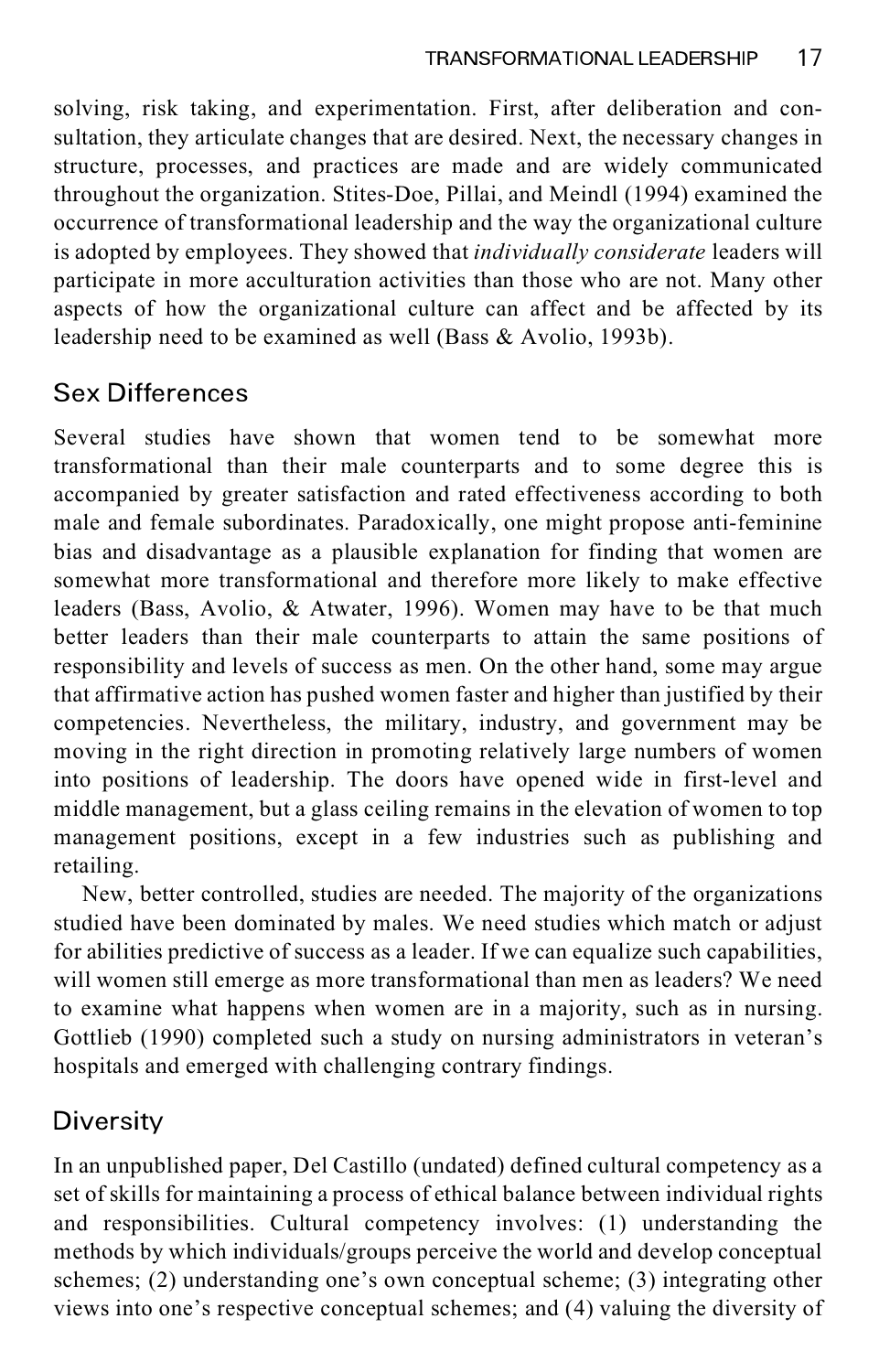solving, risk taking, and experimentation. First, after deliberation and consultation, they articulate changes that are desired. Next, the necessary changes in structure, processes, and practices are made and are widely communicated throughout the organization. Stites-Doe, Pillai, and Meindl (1994) examined the occurrence of transformational leadership and the way the organizational culture is adopted by employees. They showed that *individually considerate* leaders will participate in more acculturation activities than those who are not. Many other aspects of how the organizational culture can affect and be affected by its leadership need to be examined as well (Bass & Avolio, 1993b).

### Sex Differences

Several studies have shown that women tend to be somewhat more transformational than their male counterparts and to some degree this is accompanied by greater satisfaction and rated effectiveness according to both male and female subordinates. Paradoxically, one might propose anti-feminine bias and disadvantage as a plausible explanation for finding that women are somewhat more transformational and therefore more likely to make effective leaders (Bass, Avolio, & Atwater, 1996). Women may have to be that much better leaders than their male counterparts to attain the same positions of responsibility and levels of success as men. On the other hand, some may argue that affirmative action has pushed women faster and higher than justified by their competencies. Nevertheless, the military, industry, and government may be moving in the right direction in promoting relatively large numbers of women into positions of leadership. The doors have opened wide in first-level and middle management, but a glass ceiling remains in the elevation of women to top management positions, except in a few industries such as publishing and retailing.

New, better controlled, studies are needed. The majority of the organizations studied have been dominated by males. We need studies which match or adjust for abilities predictive of success as a leader. If we can equalize such capabilities, will women still emerge as more transformational than men as leaders? We need to examine what happens when women are in a majority, such as in nursing. Gottlieb (1990) completed such a study on nursing administrators in veteran's hospitals and emerged with challenging contrary findings.

### Diversity

In an unpublished paper, Del Castillo (undated) defined cultural competency as a set of skills for maintaining a process of ethical balance between individual rights and responsibilities. Cultural competency involves: (1) understanding the methods by which individuals/groups perceive the world and develop conceptual schemes; (2) understanding one's own conceptual scheme; (3) integrating other views into one's respective conceptual schemes; and (4) valuing the diversity of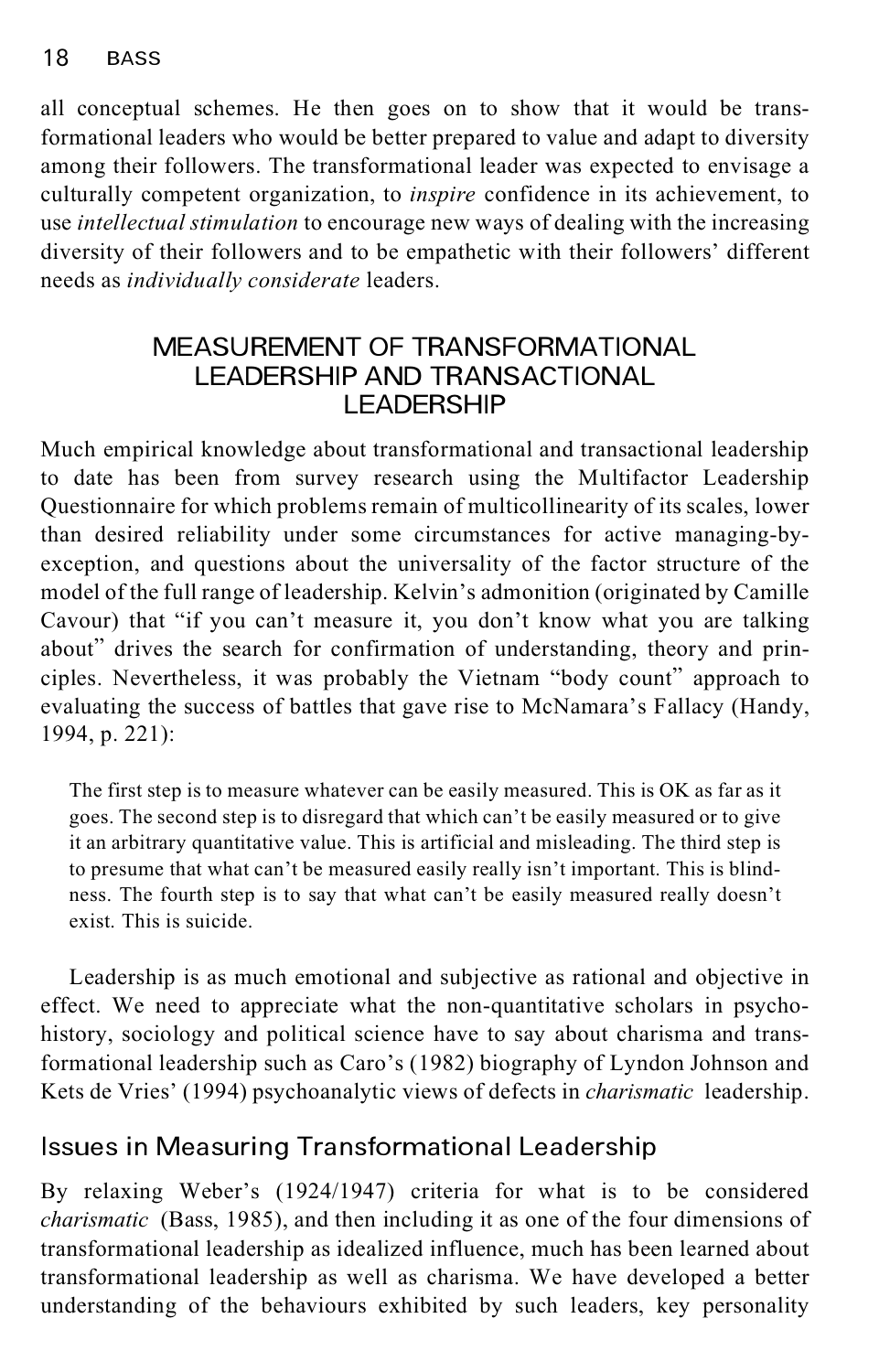all conceptual schemes. He then goes on to show that it would be transformational leaders who would be better prepared to value and adapt to diversity among their followers. The transformational leader was expected to envisage a culturally competent organization, to *inspire* confidence in its achievement, to use *intellectual stimulation* to encourage new ways of dealing with the increasing diversity of their followers and to be empathetic with their followers' different needs as *individually considerate* leaders.

#### MEASUREMENT OF TRANSFORMATIONAL LEADERSHIP AND TRANSACTIONAL LEADERSHIP

Much empirical knowledge about transformational and transactional leadership to date has been from survey research using the Multifactor Leadership Questionnaire for which problems remain of multicollinearity of its scales, lower than desired reliability under some circumstances for active managing-by exception, and questions about the universality of the factor structure of the model of the full range of leadership. Kelvin's admonition (originated by Camille Cavour) that "if you can't measure it, you don't know what you are talking about" drives the search for confirmation of understanding, theory and principles. Nevertheless, it was probably the Vietnam "body count" approach to evaluating the success of battles that gave rise to McNamara's Fallacy (Handy, 1994, p. 221):

The first step is to measure whatever can be easily measured. This is OK as far as it goes. The second step is to disregard that which can't be easily measured or to give it an arbitrary quantitative value. This is artificial and misleading. The third step is to presume that what can't be measured easily really isn't important. This is blind ness. The fourth step is to say that what can't be easily measured really doesn't exist. This is suicide.

Leadership is as much emotional and subjective as rational and objective in effect. We need to appreciate what the non-quantitative scholars in psychohistory, sociology and political science have to say about charisma and transformational leadership such as Caro's (1982) biography of Lyndon Johnson and Kets de Vries' (1994) psychoanalytic views of defects in *charismatic* leadership.

### Issues in Measuring Transformational Leadership

By relaxing Weber's (1924/1947) criteria for what is to be considered *charismatic* (Bass, 1985), and then including it as one of the four dimensions of transformational leadership as idealized influence, much has been learned about transformational leadership as well as charisma. We have developed a better understanding of the behaviours exhibited by such leaders, key personality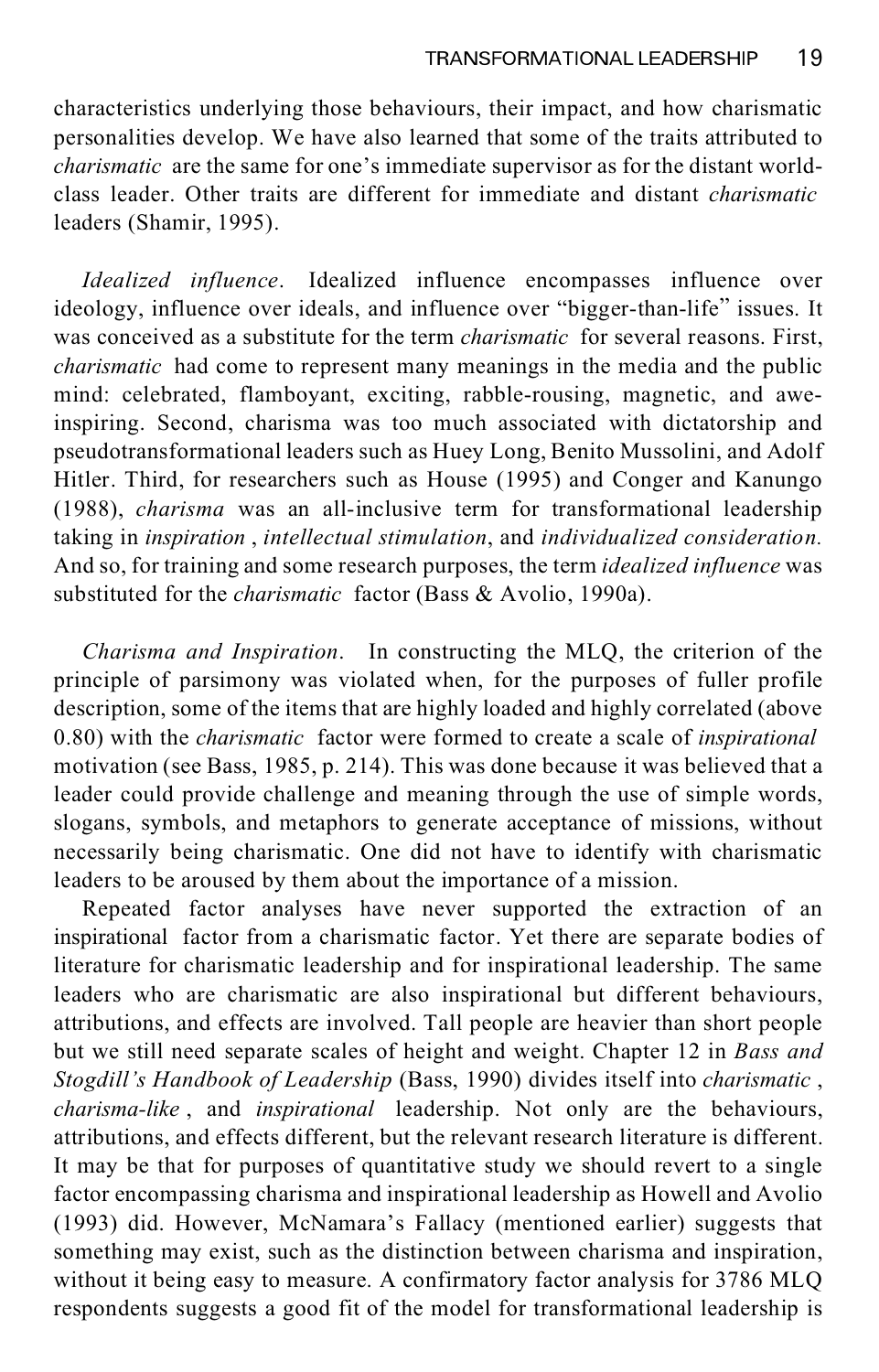characteristics underlying those behaviours, their impact, and how charismatic personalities develop. We have also learned that some of the traits attributed to *charismatic* are the same for one's immediate supervisor as for the distant worldclass leader. Other traits are different for immediate and distant *charismatic* leaders (Shamir, 1995).

*Idealized influence*. Idealized influence encompasses influence over ideology, influence over ideals, and influence over "bigger-than-life" issues. It was conceived as a substitute for the term *charismatic* for several reasons. First, *charismatic* had come to represent many meanings in the media and the public mind: celebrated, flamboyant, exciting, rabble-rousing, magnetic, and aweinspiring. Second, charisma was too much associated with dictatorship and pseudotransformational leaders such as Huey Long, Benito Mussolini, and Adolf Hitler. Third, for researchers such as House (1995) and Conger and Kanungo (1988), *charisma* was an all-inclusive term for transformational leadership taking in *inspiration* , *intellectual stimulation*, and *individualized consideration.* And so, for training and some research purposes, the term *idealized influence* was substituted for the *charismatic* factor (Bass & Avolio, 1990a).

*Charisma and Inspiration*. In constructing the MLQ, the criterion of the principle of parsimony was violated when, for the purposes of fuller profile description, some of the items that are highly loaded and highly correlated (above 0.80) with the *charismatic* factor were formed to create a scale of *inspirational* motivation (see Bass, 1985, p. 214). This was done because it was believed that a leader could provide challenge and meaning through the use of simple words, slogans, symbols, and metaphors to generate acceptance of missions, without necessarily being charismatic. One did not have to identify with charismatic leaders to be aroused by them about the importance of a mission.

Repeated factor analyses have never supported the extraction of an inspirational factor from a charismatic factor. Yet there are separate bodies of literature for charismatic leadership and for inspirational leadership. The same leaders who are charismatic are also inspirational but different behaviours, attributions, and effects are involved. Tall people are heavier than short people but we still need separate scales of height and weight. Chapter 12 in *Bass and Stogdill's Handbook of Leadership* (Bass, 1990) divides itself into *charismatic* , *charisma-like* , and *inspirational* leadership. Not only are the behaviours, attributions, and effects different, but the relevant research literature is different. It may be that for purposes of quantitative study we should revert to a single factor encompassing charisma and inspirational leadership as Howell and Avolio (1993) did. However, McNamara's Fallacy (mentioned earlier) suggests that something may exist, such as the distinction between charisma and inspiration, without it being easy to measure. A confirmatory factor analysis for 3786 MLQ respondents suggests a good fit of the model for transformational leadership is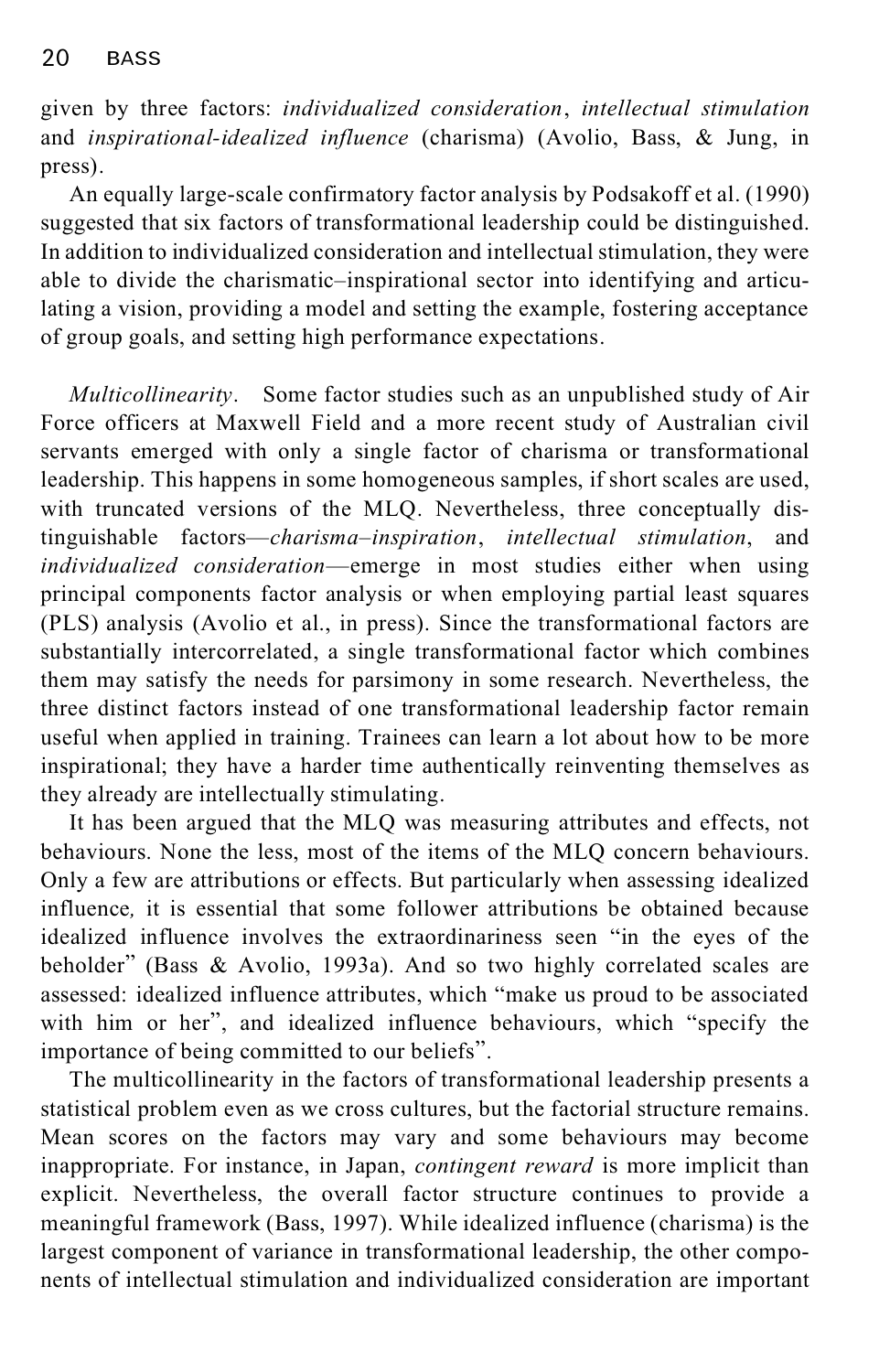given by three factors: *individualized consideration*, *intellectual stimulation* and *inspirational-idealized influence* (charisma) (Avolio, Bass, & Jung, in press).

An equally large-scale confirmatory factor analysis by Podsakoff et al. (1990) suggested that six factors of transformational leadership could be distinguished. In addition to individualized consideration and intellectual stimulation, they were able to divide the charismatic–inspirational sector into identifying and articulating a vision, providing a model and setting the example, fostering acceptance of group goals, and setting high performance expectations.

*Multicollinearity*. Some factor studies such as an unpublished study of Air Force officers at Maxwell Field and a more recent study of Australian civil servants emerged with only a single factor of charisma or transformational leadership. This happens in some homogeneous samples, if short scales are used, with truncated versions of the MLQ. Nevertheless, three conceptually distinguishable factors—*charisma–inspiration*, *intellectual stimulation*, and *individualized consideration*—emerge in most studies either when using principal components factor analysis or when employing partial least squares (PLS) analysis (Avolio et al., in press). Since the transformational factors are substantially intercorrelated, a single transformational factor which combines them may satisfy the needs for parsimony in some research. Nevertheless, the three distinct factors instead of one transformational leadership factor remain useful when applied in training. Trainees can learn a lot about how to be more inspirational; they have a harder time authentically reinventing themselves as they already are intellectually stimulating.

It has been argued that the MLQ was measuring attributes and effects, not behaviours. None the less, most of the items of the MLQ concern behaviours. Only a few are attributions or effects. But particularly when assessing idealized influence*,* it is essential that some follower attributions be obtained because idealized influence involves the extraordinariness seen "in the eyes of the beholder" (Bass & Avolio, 1993a). And so two highly correlated scales are assessed: idealized influence attributes, which "make us proud to be associated with him or her", and idealized influence behaviours, which "specify the importance of being committed to our beliefs".

The multicollinearity in the factors of transformational leadership presents a statistical problem even as we cross cultures, but the factorial structure remains. Mean scores on the factors may vary and some behaviours may become inappropriate. For instance, in Japan, *contingent reward* is more implicit than explicit. Nevertheless, the overall factor structure continues to provide a meaningful framework (Bass, 1997). While idealized influence (charisma) is the largest component of variance in transformational leadership, the other components of intellectual stimulation and individualized consideration are important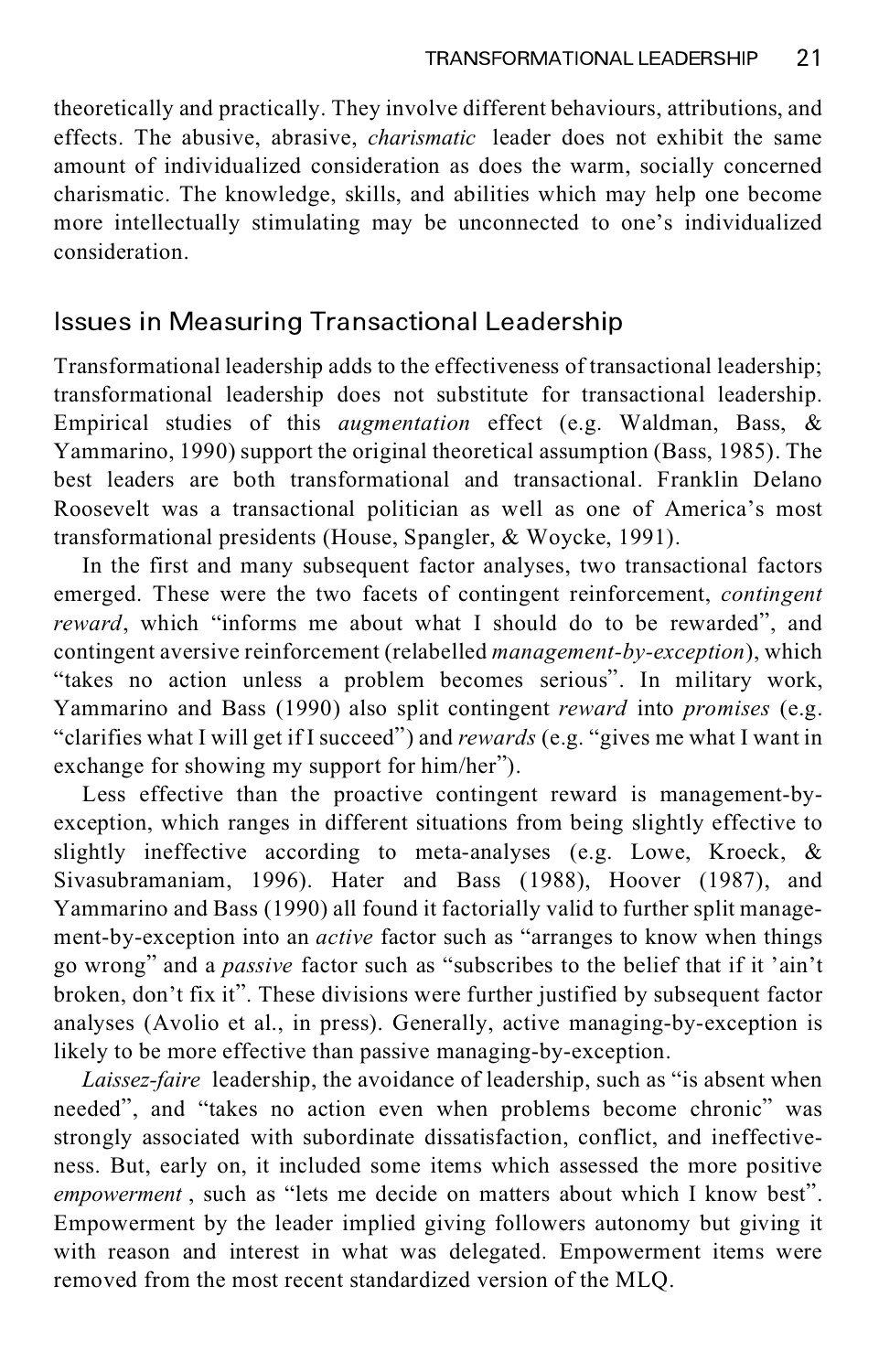theoretically and practically. They involve different behaviours, attributions, and effects. The abusive, abrasive, *charismatic* leader does not exhibit the same amount of individualized consideration as does the warm, socially concerned charismatic. The knowledge, skills, and abilities which may help one become more intellectually stimulating may be unconnected to one's individualized consideration.

#### Issues in Measuring Transactional Leadership

Transformational leadership adds to the effectiveness of transactional leadership; transformational leadership does not substitute for transactional leadership. Empirical studies of this *augmentation* effect (e.g. Waldman, Bass, & Yammarino, 1990) support the original theoretical assumption (Bass, 1985). The best leaders are both transformational and transactional. Franklin Delano Roosevelt was a transactional politician as well as one of America's most transformational presidents (House, Spangler, & Woycke, 1991).

In the first and many subsequent factor analyses, two transactional factors emerged. These were the two facets of contingent reinforcement, *contingent reward*, which "informs me about what I should do to be rewarded", and contingent aversive reinforcement (relabelled *management-by-exception*), which "takes no action unless a problem becomes serious". In military work, Yammarino and Bass (1990) also split contingent *reward* into *promises* (e.g. "clarifies what I will get if I succeed") and *rewards* (e.g. "gives me what I want in exchange for showing my support for him/her").

Less effective than the proactive contingent reward is management-byexception, which ranges in different situations from being slightly effective to slightly ineffective according to meta-analyses (e.g. Lowe, Kroeck, & Sivasubramaniam, 1996). Hater and Bass (1988), Hoover (1987), and Yammarino and Bass (1990) all found it factorially valid to further split management-by-exception into an *active* factor such as "arranges to know when things go wrong" and a *passive* factor such as "subscribes to the belief that if it 'ain't broken, don't fix it". These divisions were further justified by subsequent factor analyses (Avolio et al., in press). Generally, active managing-by-exception is likely to be more effective than passive managing-by-exception.

*Laissez-faire* leadership, the avoidance of leadership, such as "is absent when needed", and "takes no action even when problems become chronic" was strongly associated with subordinate dissatisfaction, conflict, and ineffectiveness. But, early on, it included some items which assessed the more positive *empowerment* , such as "lets me decide on matters about which I know best". Empowerment by the leader implied giving followers autonomy but giving it with reason and interest in what was delegated. Empowerment items were removed from the most recent standardized version of the MLQ.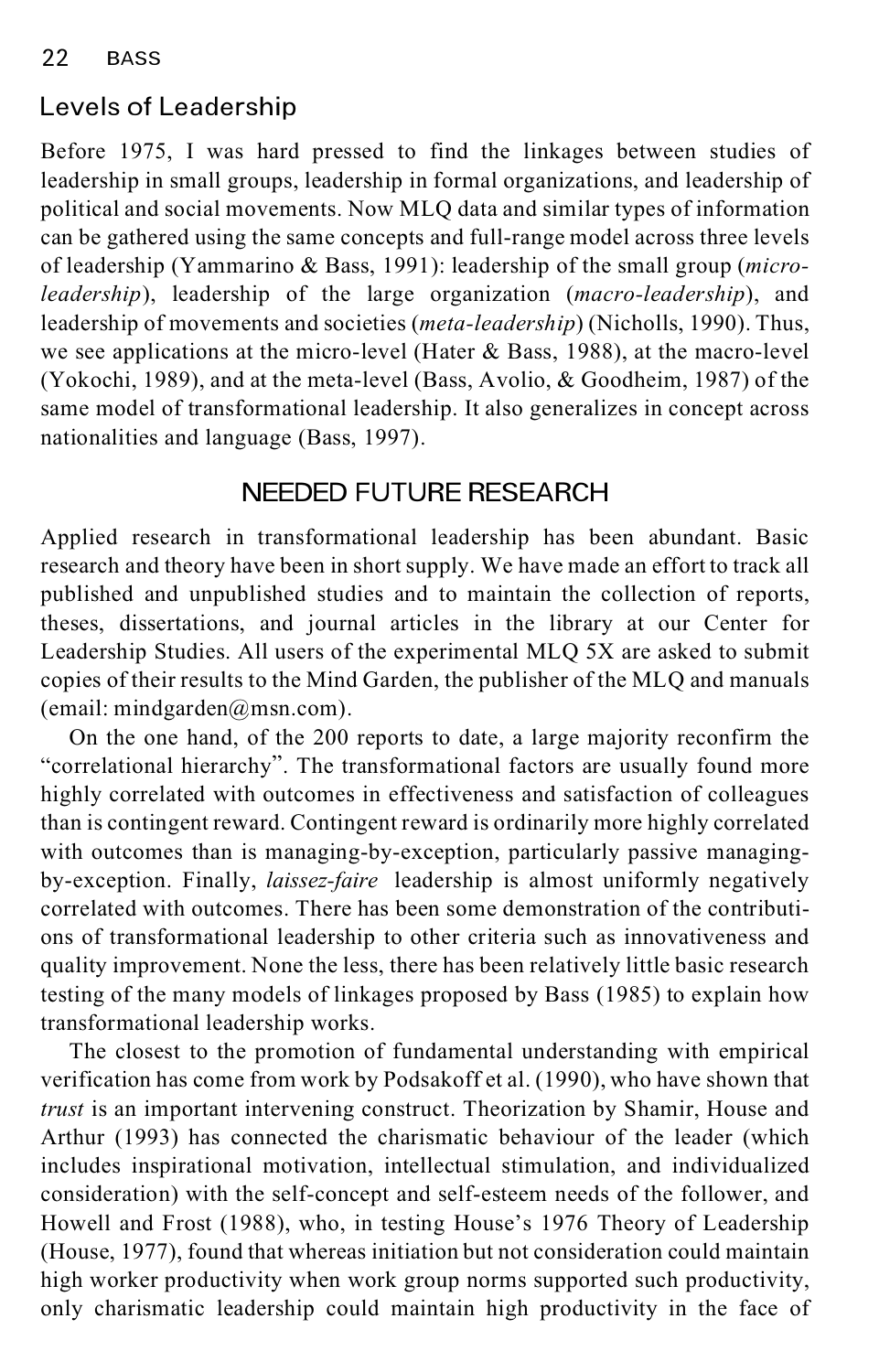### Levels of Leadership

Before 1975, I was hard pressed to find the linkages between studies of leadership in small groups, leadership in formal organizations, and leadership of political and social movements. Now MLQ data and similar types of information can be gathered using the same concepts and full-range model across three levels of leadership (Yammarino & Bass, 1991): leadership of the small group (*microleadership*), leadership of the large organization (*macro-leadership*), and leadership of movements and societies (*meta-leadership*) (Nicholls, 1990). Thus, we see applications at the micro-level (Hater & Bass, 1988), at the macro-level (Yokochi, 1989), and at the meta-level (Bass, Avolio, & Goodheim, 1987) of the same model of transformational leadership. It also generalizes in concept across nationalities and language (Bass, 1997).

### NEEDED FUTURE RESEARCH

Applied research in transformational leadership has been abundant. Basic research and theory have been in short supply. We have made an effort to track all published and unpublished studies and to maintain the collection of reports, theses, dissertations, and journal articles in the library at our Center for Leadership Studies. All users of the experimental MLQ 5X are asked to submit copies of their results to the Mind Garden, the publisher of the MLQ and manuals (email: mindgarden@msn.com).

On the one hand, of the 200 reports to date, a large majority reconfirm the "correlational hierarchy". The transformational factors are usually found more highly correlated with outcomes in effectiveness and satisfaction of colleagues than is contingent reward. Contingent reward is ordinarily more highly correlated with outcomes than is managing-by-exception, particularly passive managingby-exception. Finally, *laissez-faire* leadership is almost uniformly negatively correlated with outcomes. There has been some demonstration of the contributions of transformational leadership to other criteria such as innovativeness and quality improvement. None the less, there has been relatively little basic research testing of the many models of linkages proposed by Bass (1985) to explain how transformational leadership works.

The closest to the promotion of fundamental understanding with empirical verification has come from work by Podsakoff et al. (1990), who have shown that *trust* is an important intervening construct. Theorization by Shamir, House and Arthur (1993) has connected the charismatic behaviour of the leader (which includes inspirational motivation, intellectual stimulation, and individualized consideration) with the self-concept and self-esteem needs of the follower, and Howell and Frost (1988), who, in testing House's 1976 Theory of Leadership (House, 1977), found that whereas initiation but not consideration could maintain high worker productivity when work group norms supported such productivity, only charismatic leadership could maintain high productivity in the face of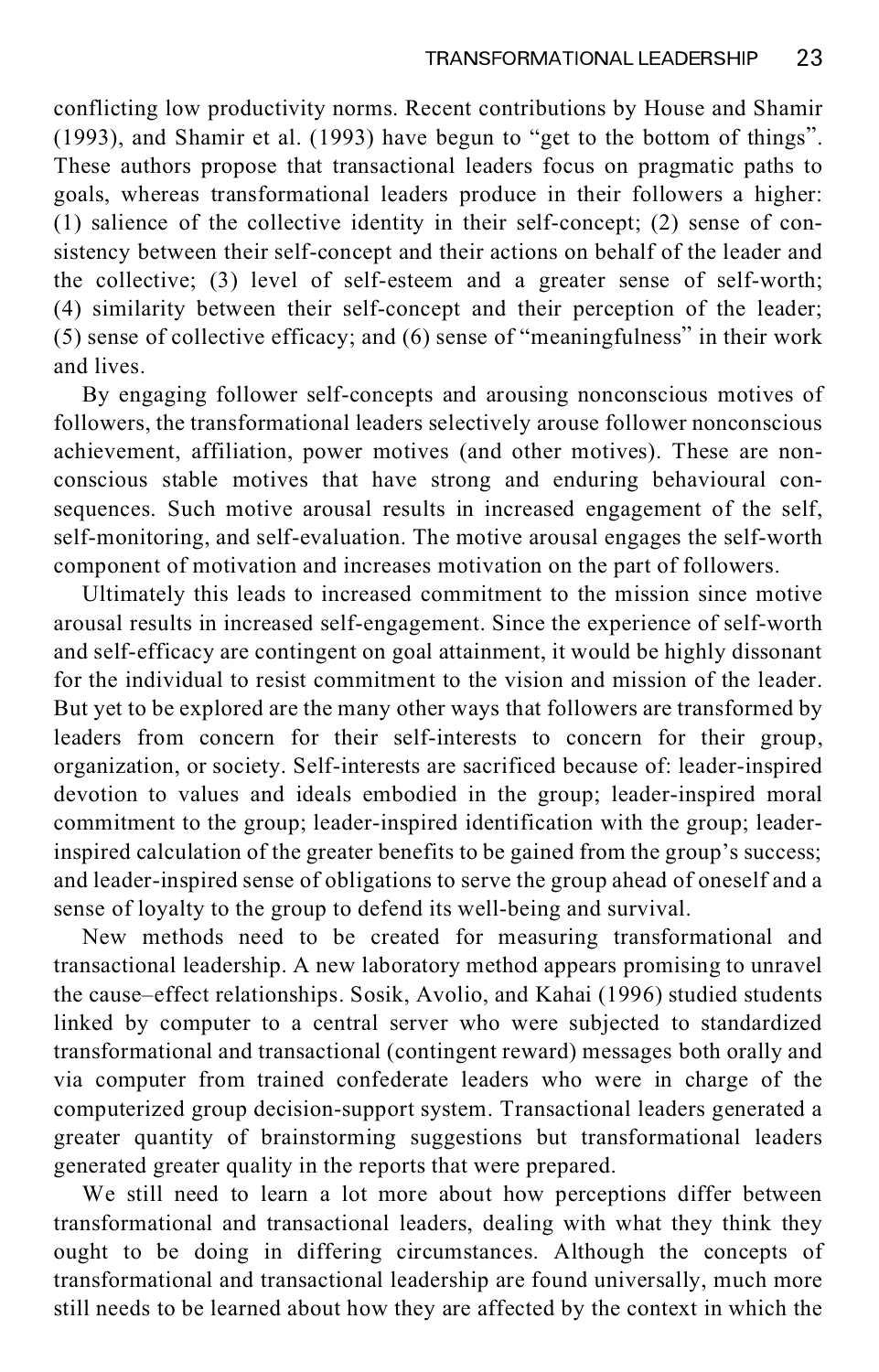conflicting low productivity norms. Recent contributions by House and Shamir (1993), and Shamir et al. (1993) have begun to "get to the bottom of things". These authors propose that transactional leaders focus on pragmatic paths to goals, whereas transformational leaders produce in their followers a higher: (1) salience of the collective identity in their self-concept; (2) sense of consistency between their self-concept and their actions on behalf of the leader and the collective; (3) level of self-esteem and a greater sense of self-worth; (4) similarity between their self-concept and their perception of the leader; (5) sense of collective efficacy; and (6) sense of "meaningfulness" in their work and lives.

By engaging follower self-concepts and arousing nonconscious motives of followers, the transformational leaders selectively arouse follower nonconscious achievement, affiliation, power motives (and other motives). These are nonconscious stable motives that have strong and enduring behavioural consequences. Such motive arousal results in increased engagement of the self, self-monitoring, and self-evaluation. The motive arousal engages the self-worth component of motivation and increases motivation on the part of followers.

Ultimately this leads to increased commitment to the mission since motive arousal results in increased self-engagement. Since the experience of self-worth and self-efficacy are contingent on goal attainment, it would be highly dissonant for the individual to resist commitment to the vision and mission of the leader. But yet to be explored are the many other ways that followers are transformed by leaders from concern for their self-interests to concern for their group, organization, or society. Self-interests are sacrificed because of: leader-inspired devotion to values and ideals embodied in the group; leader-inspired moral commitment to the group; leader-inspired identification with the group; leaderinspired calculation of the greater benefits to be gained from the group's success; and leader-inspired sense of obligations to serve the group ahead of oneself and a sense of loyalty to the group to defend its well-being and survival.

New methods need to be created for measuring transformational and transactional leadership. A new laboratory method appears promising to unravel the cause–effect relationships. Sosik, Avolio, and Kahai (1996) studied students linked by computer to a central server who were subjected to standardized transformational and transactional (contingent reward) messages both orally and via computer from trained confederate leaders who were in charge of the computerized group decision-support system. Transactional leaders generated a greater quantity of brainstorming suggestions but transformational leaders generated greater quality in the reports that were prepared.

We still need to learn a lot more about how perceptions differ between transformational and transactional leaders, dealing with what they think they ought to be doing in differing circumstances. Although the concepts of transformational and transactional leadership are found universally, much more still needs to be learned about how they are affected by the context in which the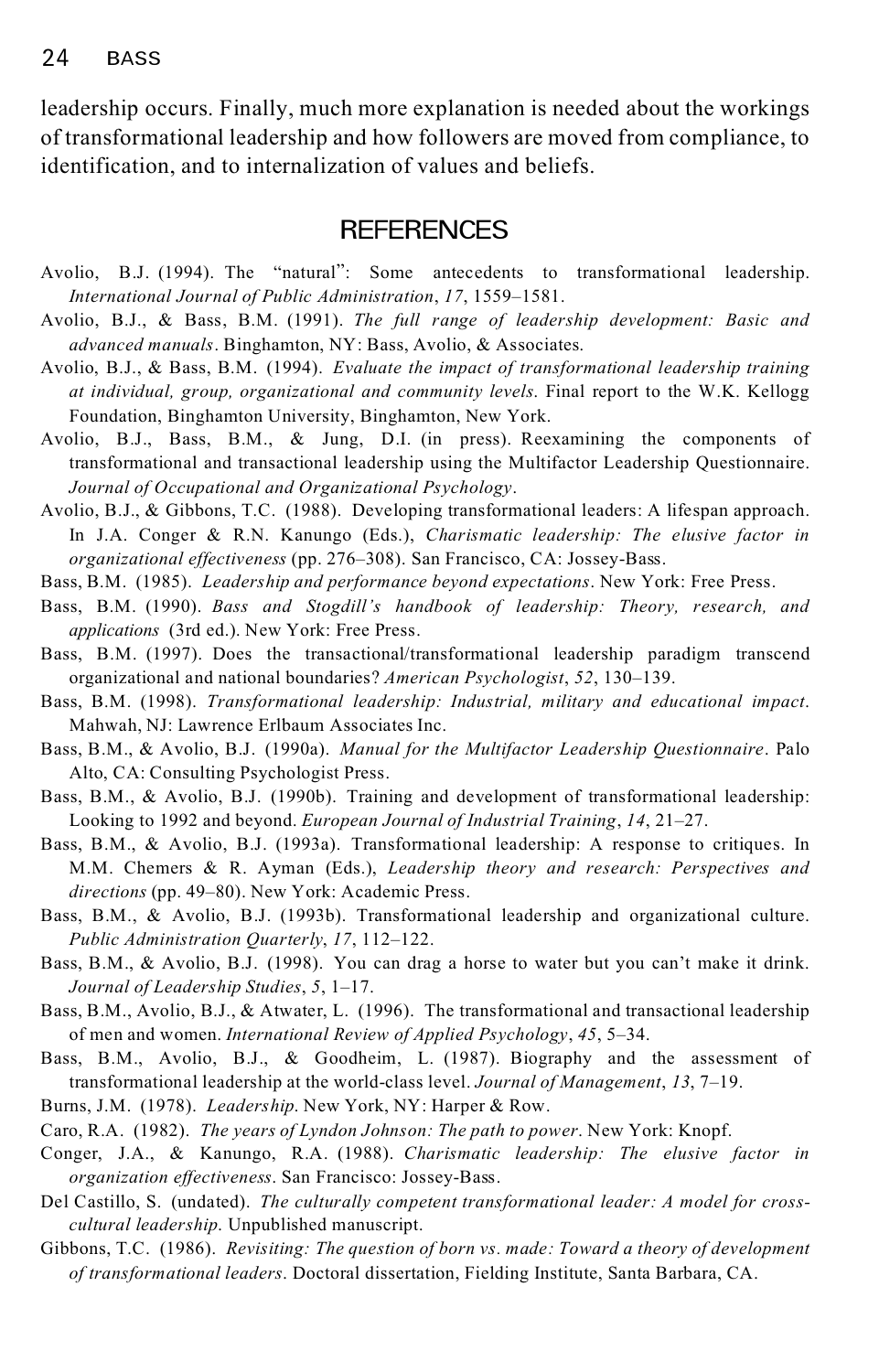leadership occurs. Finally, much more explanation is needed about the workings of transformational leadership and how followers are moved from compliance, to identification, and to internalization of values and beliefs.

#### **REFERENCES**

- Avolio, B.J. (1994). The "natural": Some antecedents to transformational leadership. *International Journal of Public Administration*, *17*, 1559–1581.
- Avolio, B.J., & Bass, B.M. (1991). *The full range of leadership development: Basic and advanced manuals*. Binghamton, NY: Bass, Avolio, & Associates.
- Avolio, B.J., & Bass, B.M. (1994). *Evaluate the impact of transformational leadership training at individual, group, organizational and community levels*. Final report to the W.K. Kellogg Foundation, Binghamton University, Binghamton, New York.
- Avolio, B.J., Bass, B.M., & Jung, D.I. (in press). Reexamining the components of transformational and transactional leadership using the Multifactor Leadership Questionnaire. *Journal of Occupational and Organizational Psychology*.
- Avolio, B.J., & Gibbons, T.C. (1988). Developing transformational leaders: A lifespan approach. In J.A. Conger & R.N. Kanungo (Eds.), *Charismatic leadership: The elusive factor in organizational effectiveness* (pp. 276–308). San Francisco, CA: Jossey-Bass.
- Bass, B.M. (1985). *Leadership and performance beyond expectations*. New York: Free Press.
- Bass, B.M. (1990). *Bass and Stogdill's handbook of leadership: Theory, research, and applications* (3rd ed.). New York: Free Press.
- Bass, B.M. (1997). Does the transactional/transformational leadership paradigm transcend organizational and national boundaries? *American Psychologist*, *52*, 130–139.
- Bass, B.M. (1998). *Transformational leadership: Industrial, military and educational impact*. Mahwah, NJ: Lawrence Erlbaum Associates Inc.
- Bass, B.M., & Avolio, B.J. (1990a). *Manual for the Multifactor Leadership Questionnaire*. Palo Alto, CA: Consulting Psychologist Press.
- Bass, B.M., & Avolio, B.J. (1990b). Training and development of transformational leadership: Looking to 1992 and beyond. *European Journal of Industrial Training*, *14*, 21–27.
- Bass, B.M., & Avolio, B.J. (1993a). Transformational leadership: A response to critiques. In M.M. Chemers & R. Ayman (Eds.), *Leadership theory and research: Perspectives and directions* (pp. 49–80). New York: Academic Press.
- Bass, B.M., & Avolio, B.J. (1993b). Transformational leadership and organizational culture. *Public Administration Quarterly*, *17*, 112–122.
- Bass, B.M., & Avolio, B.J. (1998). You can drag a horse to water but you can't make it drink. *Journal of Leadership Studies*, *5*, 1–17.
- Bass, B.M., Avolio, B.J., & Atwater, L. (1996). The transformational and transactional leadership of men and women. *International Review of Applied Psychology*, *45*, 5–34.
- Bass, B.M., Avolio, B.J., & Goodheim, L. (1987). Biography and the assessment of transformational leadership at the world-class level. *Journal of Management*, *13*, 7–19.
- Burns, J.M. (1978). *Leadership*. New York, NY: Harper & Row.
- Caro, R.A. (1982). *The years of Lyndon Johnson: The path to power*. New York: Knopf.
- Conger, J.A., & Kanungo, R.A. (1988). *Charismatic leadership: The elusive factor in organization effectiveness*. San Francisco: Jossey-Bass.
- Del Castillo, S. (undated). *The culturally competent transformational leader: A model for cross cultural leadership*. Unpublished manuscript.
- Gibbons, T.C. (1986). *Revisiting: The question of born vs. made: Toward a theory of development of transformational leaders*. Doctoral dissertation, Fielding Institute, Santa Barbara, CA.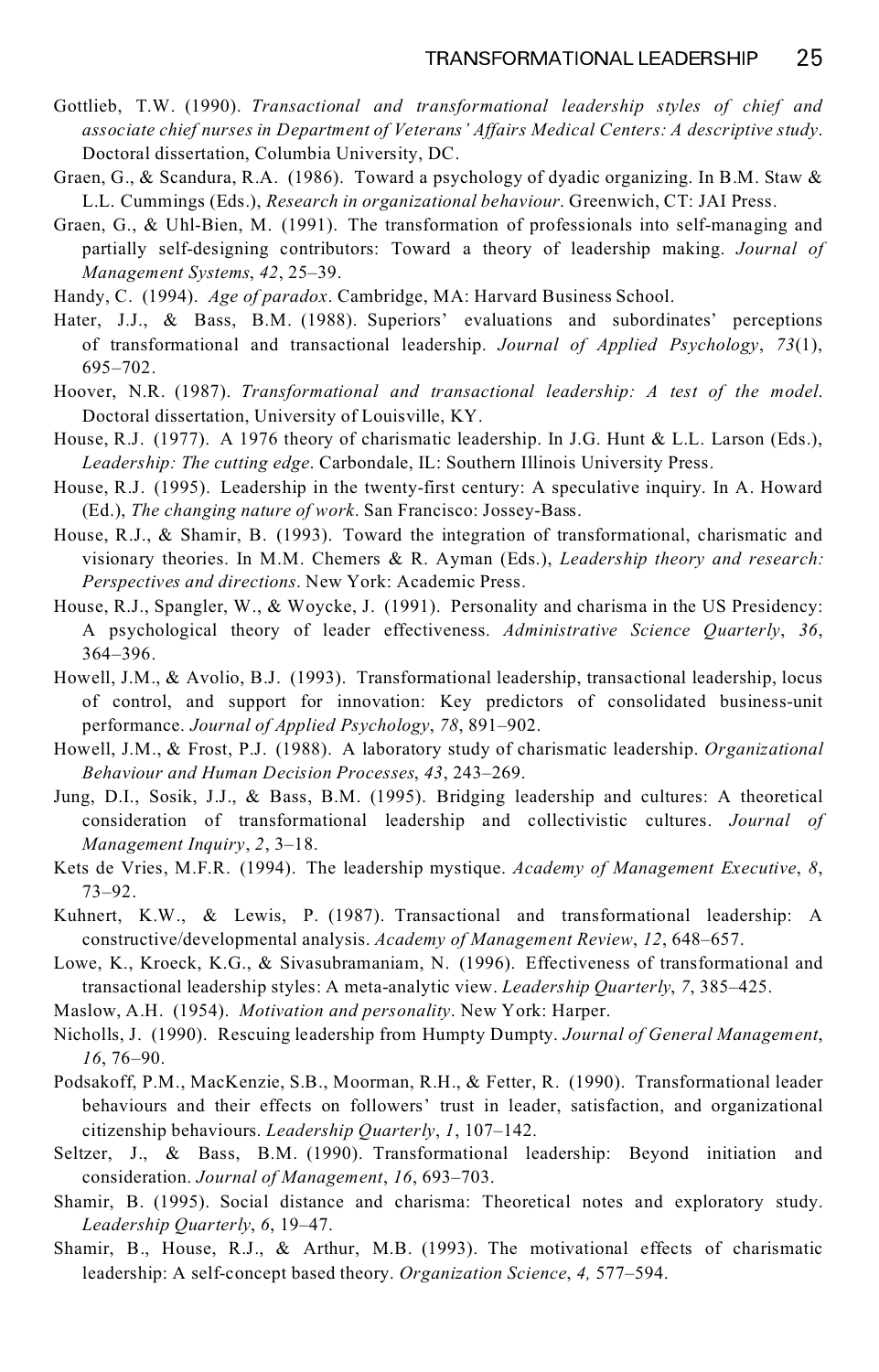- Gottlieb, T.W. (1990). *Transactional and transformational leadership styles of chief and associate chief nurses in Department of Veterans' Affairs Medical Centers: A descriptive study*. Doctoral dissertation, Columbia University, DC.
- Graen, G., & Scandura, R.A. (1986). Toward a psychology of dyadic organizing. In B.M. Staw & L.L. Cummings (Eds.), *Research in organizational behaviour*. Greenwich, CT: JAI Press.
- Graen, G., & Uhl-Bien, M. (1991). The transformation of professionals into self-managing and partially self-designing contributors: Toward a theory of leadership making. *Journal of Management Systems*, *42*, 25–39.
- Handy, C. (1994). *Age of paradox*. Cambridge, MA: Harvard Business School.
- Hater, J.J., & Bass, B.M. (1988). Superiors' evaluations and subordinates' perceptions of transformational and transactional leadership. *Journal of Applied Psychology*, *73*(1), 695–702.
- Hoover, N.R. (1987). *Transformational and transactional leadership: A test of the model*. Doctoral dissertation, University of Louisville, KY.
- House, R.J. (1977). A 1976 theory of charismatic leadership. In J.G. Hunt & L.L. Larson (Eds.), *Leadership: The cutting edge*. Carbondale, IL: Southern Illinois University Press.
- House, R.J. (1995). Leadership in the twenty-first century: A speculative inquiry. In A. Howard (Ed.), *The changing nature of work*. San Francisco: Jossey-Bass.
- House, R.J., & Shamir, B. (1993). Toward the integration of transformational, charismatic and visionary theories. In M.M. Chemers & R. Ayman (Eds.), *Leadership theory and research: Perspectives and directions*. New York: Academic Press.
- House, R.J., Spangler, W., & Woycke, J. (1991). Personality and charisma in the US Presidency: A psychological theory of leader effectiveness. *Administrative Science Quarterly*, *36*, 364–396.
- Howell, J.M., & Avolio, B.J. (1993). Transformational leadership, transactional leadership, locus of control, and support for innovation: Key predictors of consolidated business-unit performance. *Journal of Applied Psychology*, *78*, 891–902.
- Howell, J.M., & Frost, P.J. (1988). A laboratory study of charismatic leadership. *Organizational Behaviour and Human Decision Processes*, *43*, 243–269.
- Jung, D.I., Sosik, J.J., & Bass, B.M. (1995). Bridging leadership and cultures: A theoretical consideration of transformational leadership and collectivistic cultures. *Journal of Management Inquiry*, *2*, 3–18.
- Kets de Vries, M.F.R. (1994). The leadership mystique. *Academy of Management Executive*, *8*, 73–92.
- Kuhnert, K.W., & Lewis, P. (1987). Transactional and transformational leadership: A constructive/developmental analysis. *Academy of Management Review*, *12*, 648–657.
- Lowe, K., Kroeck, K.G., & Sivasubramaniam, N. (1996). Effectiveness of transformational and transactional leadership styles: A meta-analytic view. *Leadership Quarterly*, *7*, 385–425.
- Maslow, A.H. (1954). *Motivation and personality*. New York: Harper.
- Nicholls, J. (1990). Rescuing leadership from Humpty Dumpty. *Journal of General Management*, *16*, 76–90.
- Podsakoff, P.M., MacKenzie, S.B., Moorman, R.H., & Fetter, R. (1990). Transformational leader behaviours and their effects on followers' trust in leader, satisfaction, and organizational citizenship behaviours. *Leadership Quarterly*, *1*, 107–142.
- Seltzer, J., & Bass, B.M. (1990). Transformational leadership: Beyond initiation and consideration. *Journal of Management*, *16*, 693–703.
- Shamir, B. (1995). Social distance and charisma: Theoretical notes and exploratory study. *Leadership Quarterly*, *6*, 19–47.
- Shamir, B., House, R.J., & Arthur, M.B. (1993). The motivational effects of charismatic leadership: A self-concept based theory. *Organization Science*, *4,* 577–594.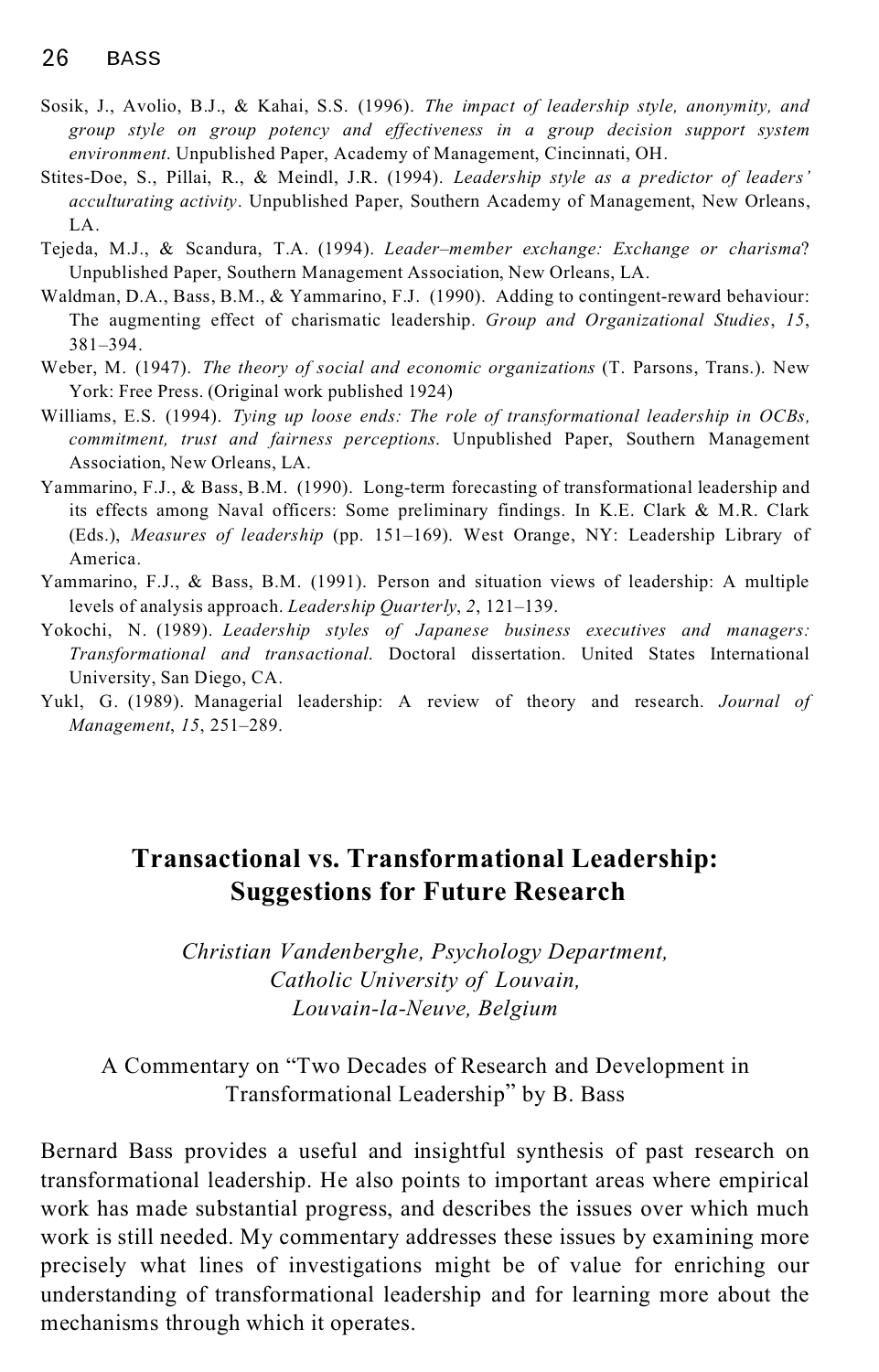- Sosik, J., Avolio, B.J., & Kahai, S.S. (1996). *The impact of leadership style, anonymity, and group style on group potency and effectiveness in a group decision support system environment*. Unpublished Paper, Academy of Management, Cincinnati, OH.
- Stites-Doe, S., Pillai, R., & Meindl, J.R. (1994). *Leadership style as a predictor of leaders' acculturating activity*. Unpublished Paper, Southern Academy of Management, New Orleans, LA.
- Tejeda, M.J., & Scandura, T.A. (1994). *Leader–member exchange: Exchange or charisma*? Unpublished Paper, Southern Management Association, New Orleans, LA.
- Waldman, D.A., Bass, B.M., & Yammarino, F.J. (1990). Adding to contingent-reward behaviour: The augmenting effect of charismatic leadership. *Group and Organizational Studies*, *15*, 381–394.
- Weber, M. (1947). *The theory of social and economic organizations* (T. Parsons, Trans.). New York: Free Press. (Original work published 1924)
- Williams, E.S. (1994). *Tying up loose ends: The role of transformational leadership in OCBs, commitment, trust and fairness perceptions*. Unpublished Paper, Southern Management Association, New Orleans, LA.
- Yammarino, F.J., & Bass, B.M. (1990). Long-term forecasting of transformational leadership and its effects among Naval officers: Some preliminary findings. In K.E. Clark & M.R. Clark (Eds.), *Measures of leadership* (pp. 151–169). West Orange, NY: Leadership Library of America.
- Yammarino, F.J., & Bass, B.M. (1991). Person and situation views of leadership: A multiple levels of analysis approach. *Leadership Quarterly*, *2*, 121–139.
- Yokochi, N. (1989). *Leadership styles of Japanese business executives and managers: Transformational and transactional*. Doctoral dissertation. United States International University, San Diego, CA.
- Yukl, G. (1989). Managerial leadership: A review of theory and research. *Journal of Management*, *15*, 251–289.

### **Transactional vs. Transformational Leadership: Suggestions for Future Research**

*Christian Vandenberghe, Psychology Department, Catholic University of Louvain, Louvain-la-Neuve, Belgium*

#### A Commentary on "Two Decades of Research and Development in Transformational Leadership" by B. Bass

Bernard Bass provides a useful and insightful synthesis of past research on transformational leadership. He also points to important areas where empirical work has made substantial progress, and describes the issues over which much work is still needed. My commentary addresses these issues by examining more precisely what lines of investigations might be of value for enriching our understanding of transformational leadership and for learning more about the mechanisms through which it operates.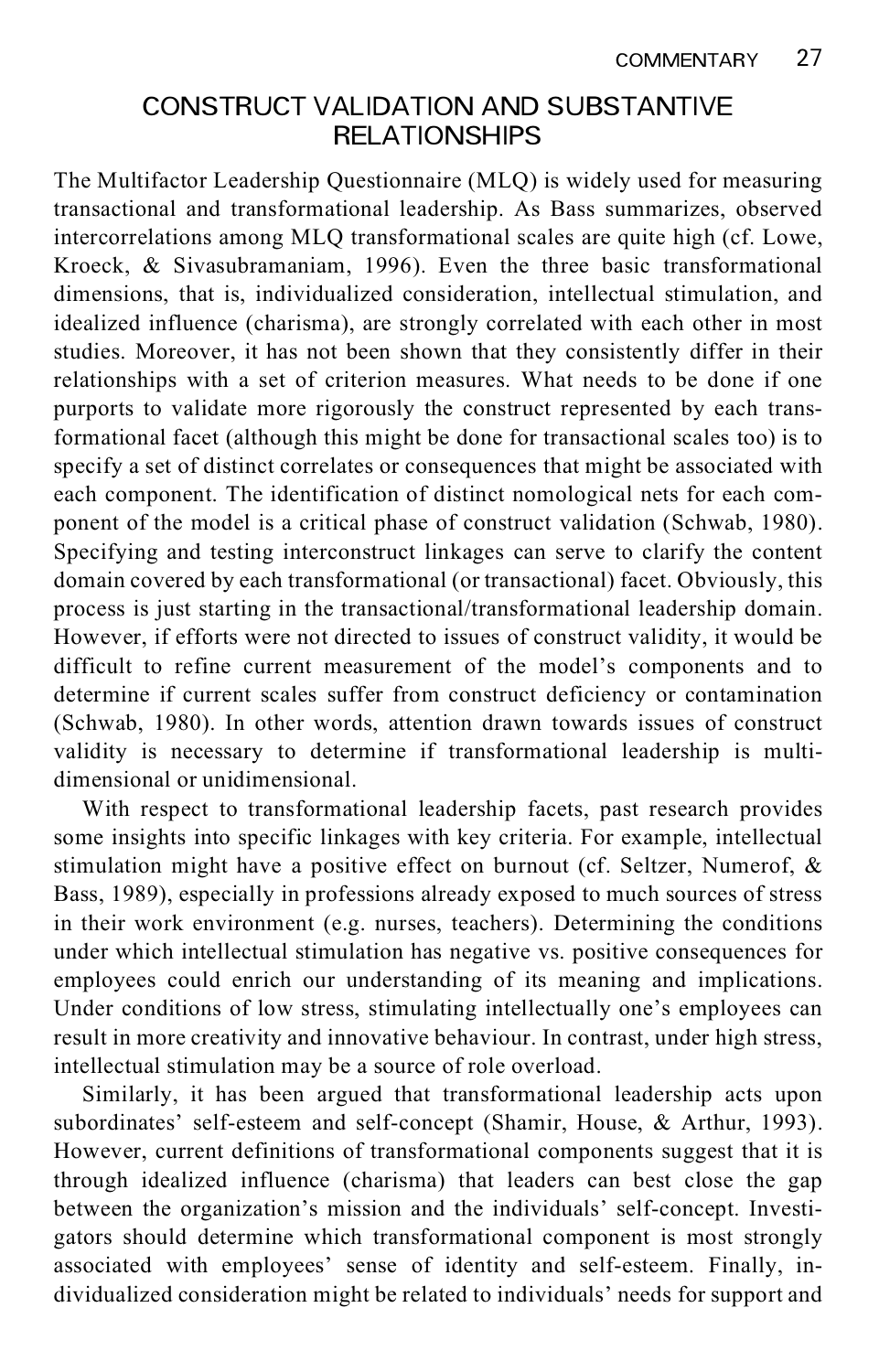#### CONSTRUCT VALIDATION AND SUBSTANTIVE RELATIONSHIPS

The Multifactor Leadership Questionnaire (MLQ) is widely used for measuring transactional and transformational leadership. As Bass summarizes, observed intercorrelations among MLQ transformational scales are quite high (cf. Lowe, Kroeck, & Sivasubramaniam, 1996). Even the three basic transformational dimensions, that is, individualized consideration, intellectual stimulation, and idealized influence (charisma), are strongly correlated with each other in most studies. Moreover, it has not been shown that they consistently differ in their relationships with a set of criterion measures. What needs to be done if one purports to validate more rigorously the construct represented by each transformational facet (although this might be done for transactional scales too) is to specify a set of distinct correlates or consequences that might be associated with each component. The identification of distinct nomological nets for each component of the model is a critical phase of construct validation (Schwab, 1980). Specifying and testing interconstruct linkages can serve to clarify the content domain covered by each transformational (or transactional) facet. Obviously, this process is just starting in the transactional/transformational leadership domain. However, if efforts were not directed to issues of construct validity, it would be difficult to refine current measurement of the model's components and to determine if current scales suffer from construct deficiency or contamination (Schwab, 1980). In other words, attention drawn towards issues of construct validity is necessary to determine if transformational leadership is multidimensional or unidimensional.

With respect to transformational leadership facets, past research provides some insights into specific linkages with key criteria. For example, intellectual stimulation might have a positive effect on burnout (cf. Seltzer, Numerof, & Bass, 1989), especially in professions already exposed to much sources of stress in their work environment (e.g. nurses, teachers). Determining the conditions under which intellectual stimulation has negative vs. positive consequences for employees could enrich our understanding of its meaning and implications. Under conditions of low stress, stimulating intellectually one's employees can result in more creativity and innovative behaviour. In contrast, under high stress, intellectual stimulation may be a source of role overload.

Similarly, it has been argued that transformational leadership acts upon subordinates' self-esteem and self-concept (Shamir, House, & Arthur, 1993). However, current definitions of transformational components suggest that it is through idealized influence (charisma) that leaders can best close the gap between the organization's mission and the individuals' self-concept. Investigators should determine which transformational component is most strongly associated with employees' sense of identity and self-esteem. Finally, individualized consideration might be related to individuals' needs for support and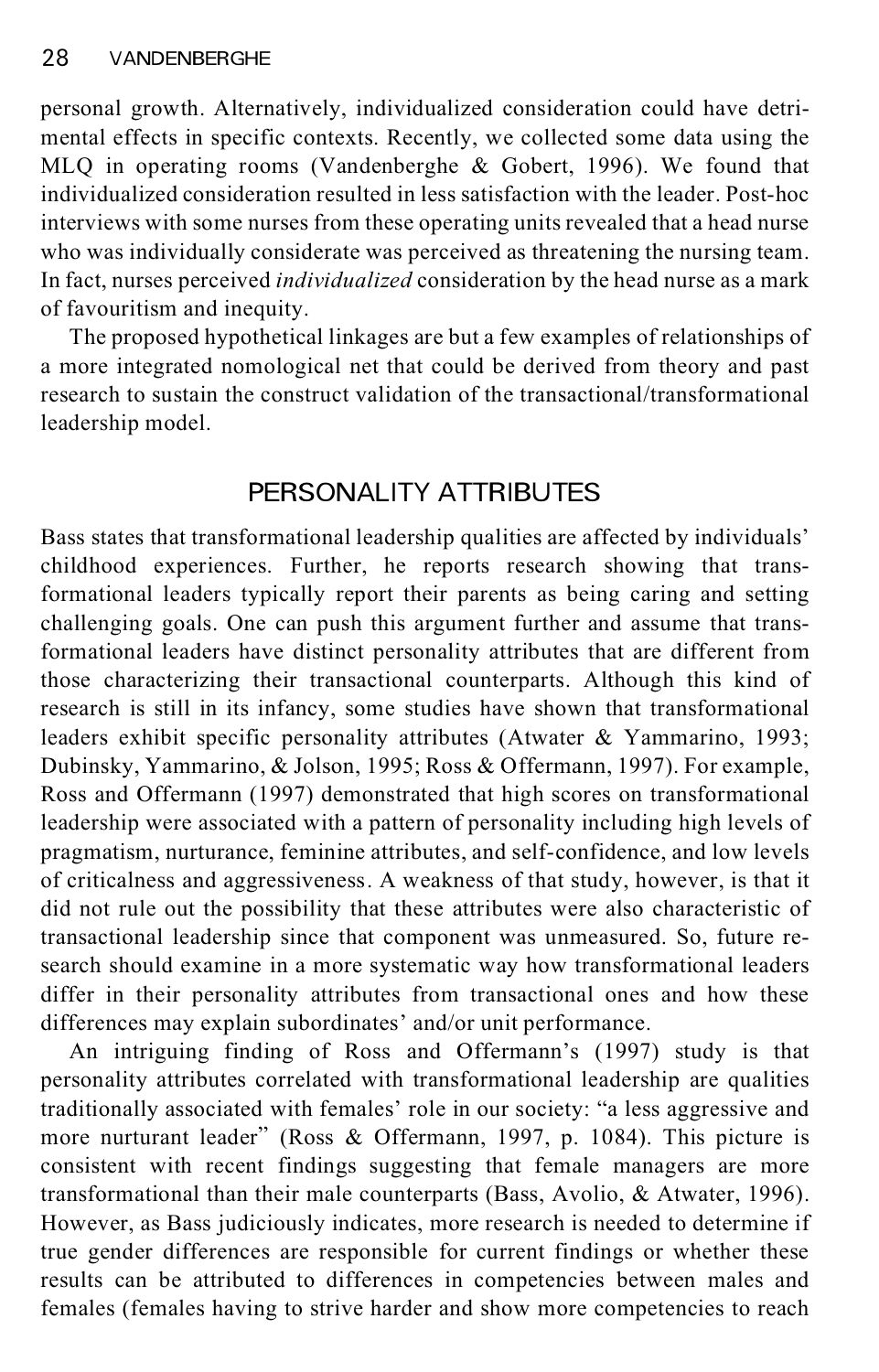personal growth. Alternatively, individualized consideration could have detrimental effects in specific contexts. Recently, we collected some data using the MLQ in operating rooms (Vandenberghe & Gobert, 1996). We found that individualized consideration resulted in less satisfaction with the leader. Post-hoc interviews with some nurses from these operating units revealed that a head nurse who was individually considerate was perceived as threatening the nursing team. In fact, nurses perceived *individualized* consideration by the head nurse as a mark of favouritism and inequity.

The proposed hypothetical linkages are but a few examples of relationships of a more integrated nomological net that could be derived from theory and past research to sustain the construct validation of the transactional/transformational leadership model.

### PERSONAL ITY ATTRIBUTES

Bass states that transformational leadership qualities are affected by individuals' childhood experiences. Further, he reports research showing that transformational leaders typically report their parents as being caring and setting challenging goals. One can push this argument further and assume that transformational leaders have distinct personality attributes that are different from those characterizing their transactional counterparts. Although this kind of research is still in its infancy, some studies have shown that transformational leaders exhibit specific personality attributes (Atwater & Yammarino, 1993; Dubinsky, Yammarino, & Jolson, 1995; Ross & Offermann, 1997). For example, Ross and Offermann (1997) demonstrated that high scores on transformational leadership were associated with a pattern of personality including high levels of pragmatism, nurturance, feminine attributes, and self-confidence, and low levels of criticalness and aggressiveness. A weakness of that study, however, is that it did not rule out the possibility that these attributes were also characteristic of transactional leadership since that component was unmeasured. So, future research should examine in a more systematic way how transformational leaders differ in their personality attributes from transactional ones and how these differences may explain subordinates' and/or unit performance.

An intriguing finding of Ross and Offermann's (1997) study is that personality attributes correlated with transformational leadership are qualities traditionally associated with females' role in our society: "a less aggressive and more nurturant leader" (Ross & Offermann, 1997, p. 1084). This picture is consistent with recent findings suggesting that female managers are more transformational than their male counterparts (Bass, Avolio, & Atwater, 1996). However, as Bass judiciously indicates, more research is needed to determine if true gender differences are responsible for current findings or whether these results can be attributed to differences in competencies between males and females (females having to strive harder and show more competencies to reach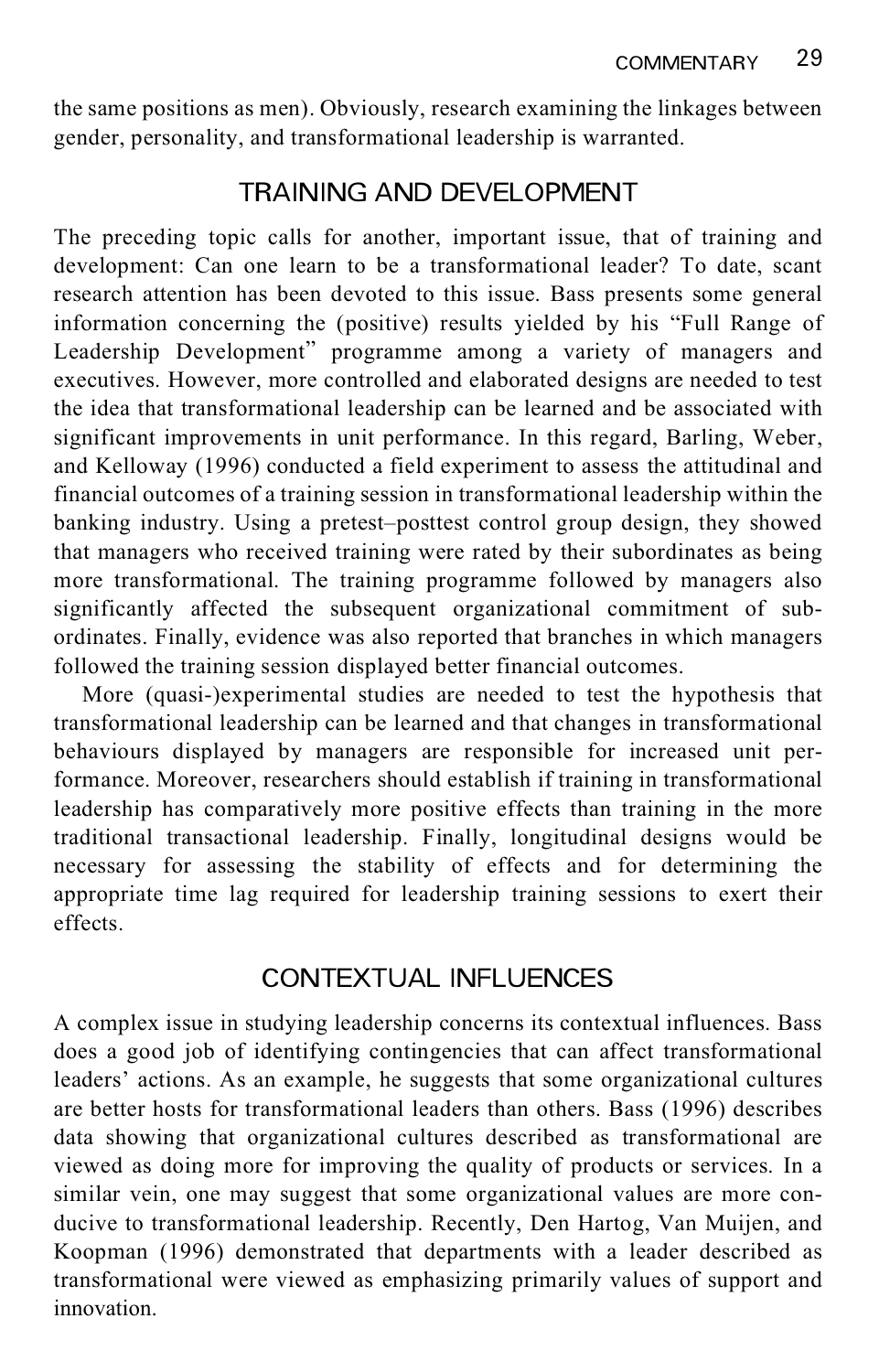the same positions as men). Obviously, research examining the linkages between gender, personality, and transformational leadership is warranted.

### TRAINING AND DEVELOPMENT

The preceding topic calls for another, important issue, that of training and development: Can one learn to be a transformational leader? To date, scant research attention has been devoted to this issue. Bass presents some general information concerning the (positive) results yielded by his "Full Range of Leadership Development" programme among a variety of managers and executives. However, more controlled and elaborated designs are needed to test the idea that transformational leadership can be learned and be associated with significant improvements in unit performance. In this regard, Barling, Weber, and Kelloway (1996) conducted a field experiment to assess the attitudinal and financial outcomes of a training session in transformational leadership within the banking industry. Using a pretest–posttest control group design, they showed that managers who received training were rated by their subordinates as being more transformational. The training programme followed by managers also significantly affected the subsequent organizational commitment of subordinates. Finally, evidence was also reported that branches in which managers followed the training session displayed better financial outcomes.

More (quasi-)experimental studies are needed to test the hypothesis that transformational leadership can be learned and that changes in transformational behaviours displayed by managers are responsible for increased unit performance. Moreover, researchers should establish if training in transformational leadership has comparatively more positive effects than training in the more traditional transactional leadership. Finally, longitudinal designs would be necessary for assessing the stability of effects and for determining the appropriate time lag required for leadership training sessions to exert their effects.

### CONTEXTUAL INFLUENCES

A complex issue in studying leadership concerns its contextual influences. Bass does a good job of identifying contingencies that can affect transformational leaders' actions. As an example, he suggests that some organizational cultures are better hosts for transformational leaders than others. Bass (1996) describes data showing that organizational cultures described as transformational are viewed as doing more for improving the quality of products or services. In a similar vein, one may suggest that some organizational values are more conducive to transformational leadership. Recently, Den Hartog, Van Muijen, and Koopman (1996) demonstrated that departments with a leader described as transformational were viewed as emphasizing primarily values of support and innovation.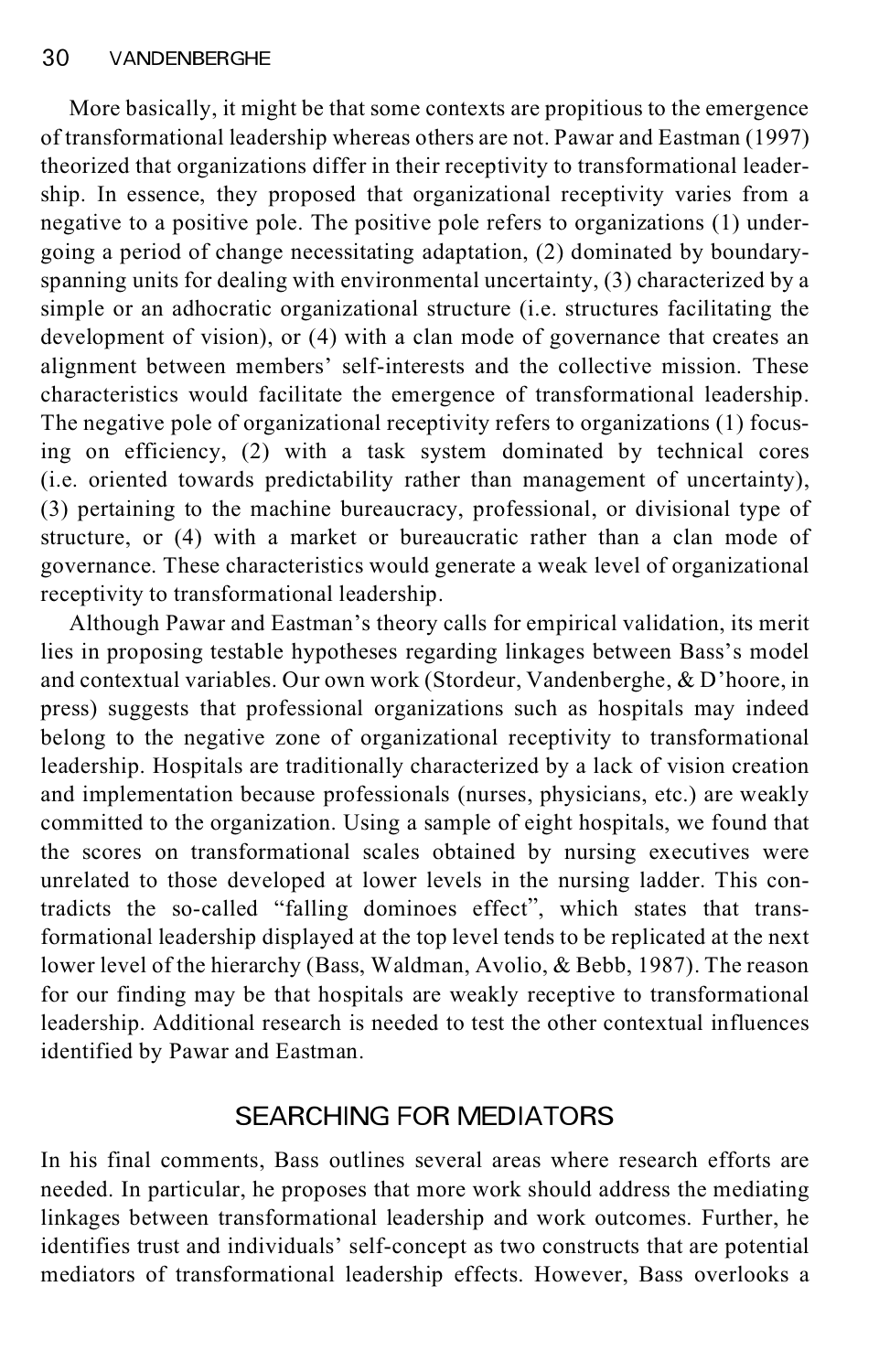More basically, it might be that some contexts are propitious to the emergence of transformational leadership whereas others are not. Pawar and Eastman (1997) theorized that organizations differ in their receptivity to transformational leadership. In essence, they proposed that organizational receptivity varies from a negative to a positive pole. The positive pole refers to organizations (1) undergoing a period of change necessitating adaptation, (2) dominated by boundaryspanning units for dealing with environmental uncertainty, (3) characterized by a simple or an adhocratic organizational structure (i.e. structures facilitating the development of vision), or (4) with a clan mode of governance that creates an alignment between members' self-interests and the collective mission. These characteristics would facilitate the emergence of transformational leadership. The negative pole of organizational receptivity refers to organizations (1) focusing on efficiency, (2) with a task system dominated by technical cores (i.e. oriented towards predictability rather than management of uncertainty), (3) pertaining to the machine bureaucracy, professional, or divisional type of structure, or (4) with a market or bureaucratic rather than a clan mode of governance. These characteristics would generate a weak level of organizational receptivity to transformational leadership.

Although Pawar and Eastman's theory calls for empirical validation, its merit lies in proposing testable hypotheses regarding linkages between Bass's model and contextual variables. Our own work (Stordeur, Vandenberghe, & D'hoore, in press) suggests that professional organizations such as hospitals may indeed belong to the negative zone of organizational receptivity to transformational leadership. Hospitals are traditionally characterized by a lack of vision creation and implementation because professionals (nurses, physicians, etc.) are weakly committed to the organization. Using a sample of eight hospitals, we found that the scores on transformational scales obtained by nursing executives were unrelated to those developed at lower levels in the nursing ladder. This contradicts the so-called "falling dominoes effect", which states that transformational leadership displayed at the top level tends to be replicated at the next lower level of the hierarchy (Bass, Waldman, Avolio, & Bebb, 1987). The reason for our finding may be that hospitals are weakly receptive to transformational leadership. Additional research is needed to test the other contextual influences identified by Pawar and Eastman.

### SEARCHING FOR MEDIATORS

In his final comments, Bass outlines several areas where research efforts are needed. In particular, he proposes that more work should address the mediating linkages between transformational leadership and work outcomes. Further, he identifies trust and individuals' self-concept as two constructs that are potential mediators of transformational leadership effects. However, Bass overlooks a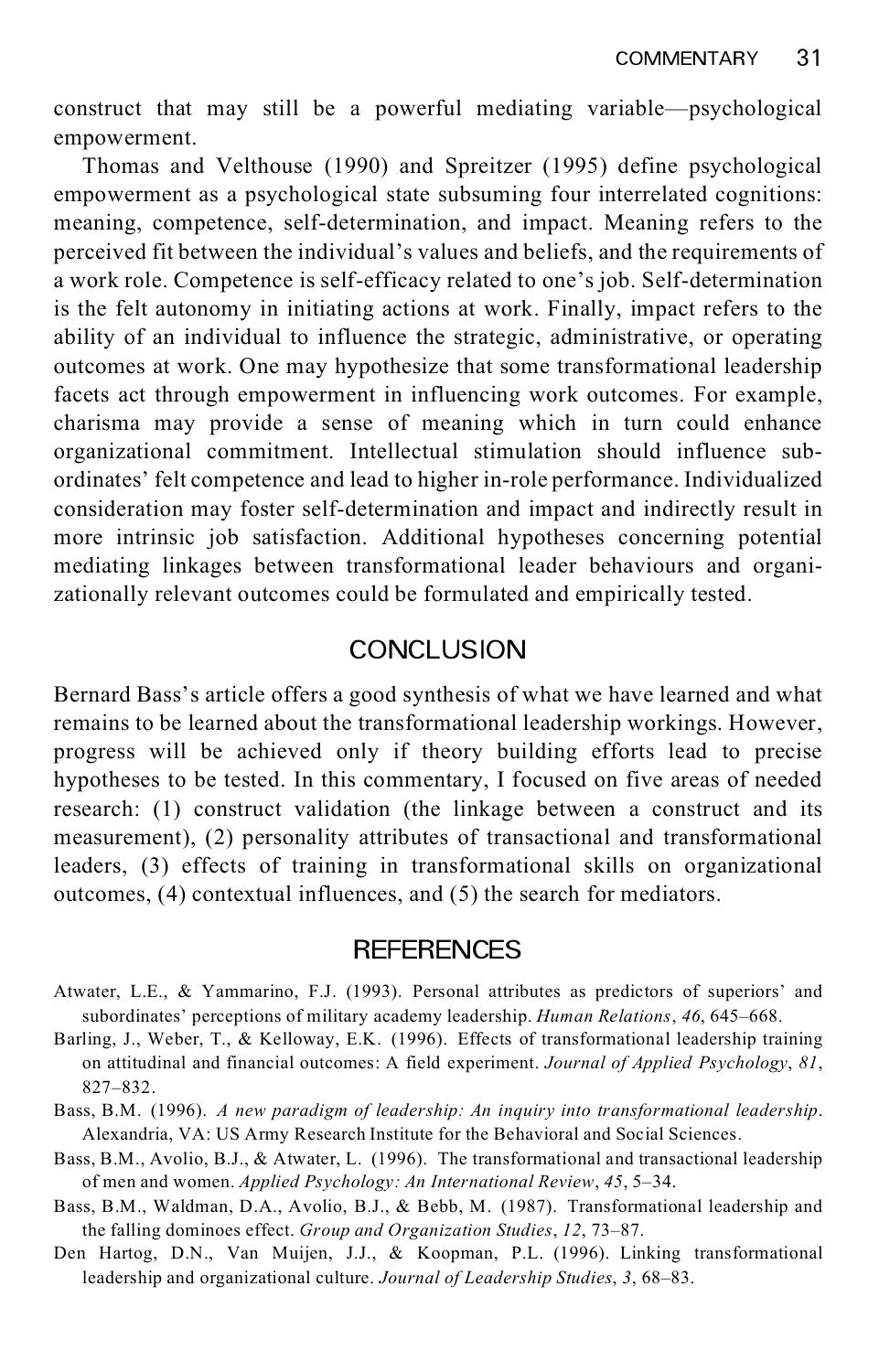construct that may still be a powerful mediating variable—psychological empowerment.

Thomas and Velthouse (1990) and Spreitzer (1995) define psychological empowerment as a psychological state subsuming four interrelated cognitions: meaning, competence, self-determination, and impact. Meaning refers to the perceived fit between the individual's values and beliefs, and the requirements of a work role. Competence is self-efficacy related to one's job. Self-determination is the felt autonomy in initiating actions at work. Finally, impact refers to the ability of an individual to influence the strategic, administrative, or operating outcomes at work. One may hypothesize that some transformational leadership facets act through empowerment in influencing work outcomes. For example, charisma may provide a sense of meaning which in turn could enhance organizational commitment. Intellectual stimulation should influence subordinates' felt competence and lead to higher in-role performance. Individualized consideration may foster self-determination and impact and indirectly result in more intrinsic job satisfaction. Additional hypotheses concerning potential mediating linkages between transformational leader behaviours and organizationally relevant outcomes could be formulated and empirically tested.

#### CONCLUSION

Bernard Bass's article offers a good synthesis of what we have learned and what remains to be learned about the transformational leadership workings. However, progress will be achieved only if theory building efforts lead to precise hypotheses to be tested. In this commentary, I focused on five areas of needed research: (1) construct validation (the linkage between a construct and its measurement), (2) personality attributes of transactional and transformational leaders, (3) effects of training in transformational skills on organizational outcomes, (4) contextual influences, and (5) the search for mediators.

#### **REFERENCES**

- Atwater, L.E., & Yammarino, F.J. (1993). Personal attributes as predictors of superiors' and subordinates' perceptions of military academy leadership. *Human Relations*, *46*, 645–668.
- Barling, J., Weber, T., & Kelloway, E.K. (1996). Effects of transformational leadership training on attitudinal and financial outcomes: A field experiment. *Journal of Applied Psychology*, *81*, 827–832.
- Bass, B.M. (1996). *A new paradigm of leadership: An inquiry into transformational leadership*. Alexandria, VA: US Army Research Institute for the Behavioral and Social Sciences.
- Bass, B.M., Avolio, B.J., & Atwater, L. (1996). The transformational and transactional leadership of men and women. *Applied Psychology: An International Review*, *45*, 5–34.
- Bass, B.M., Waldman, D.A., Avolio, B.J., & Bebb, M. (1987). Transformational leadership and the falling dominoes effect. *Group and Organization Studies*, *12*, 73–87.
- Den Hartog, D.N., Van Muijen, J.J., & Koopman, P.L. (1996). Linking transformational leadership and organizational culture. *Journal of Leadership Studies*, *3*, 68–83.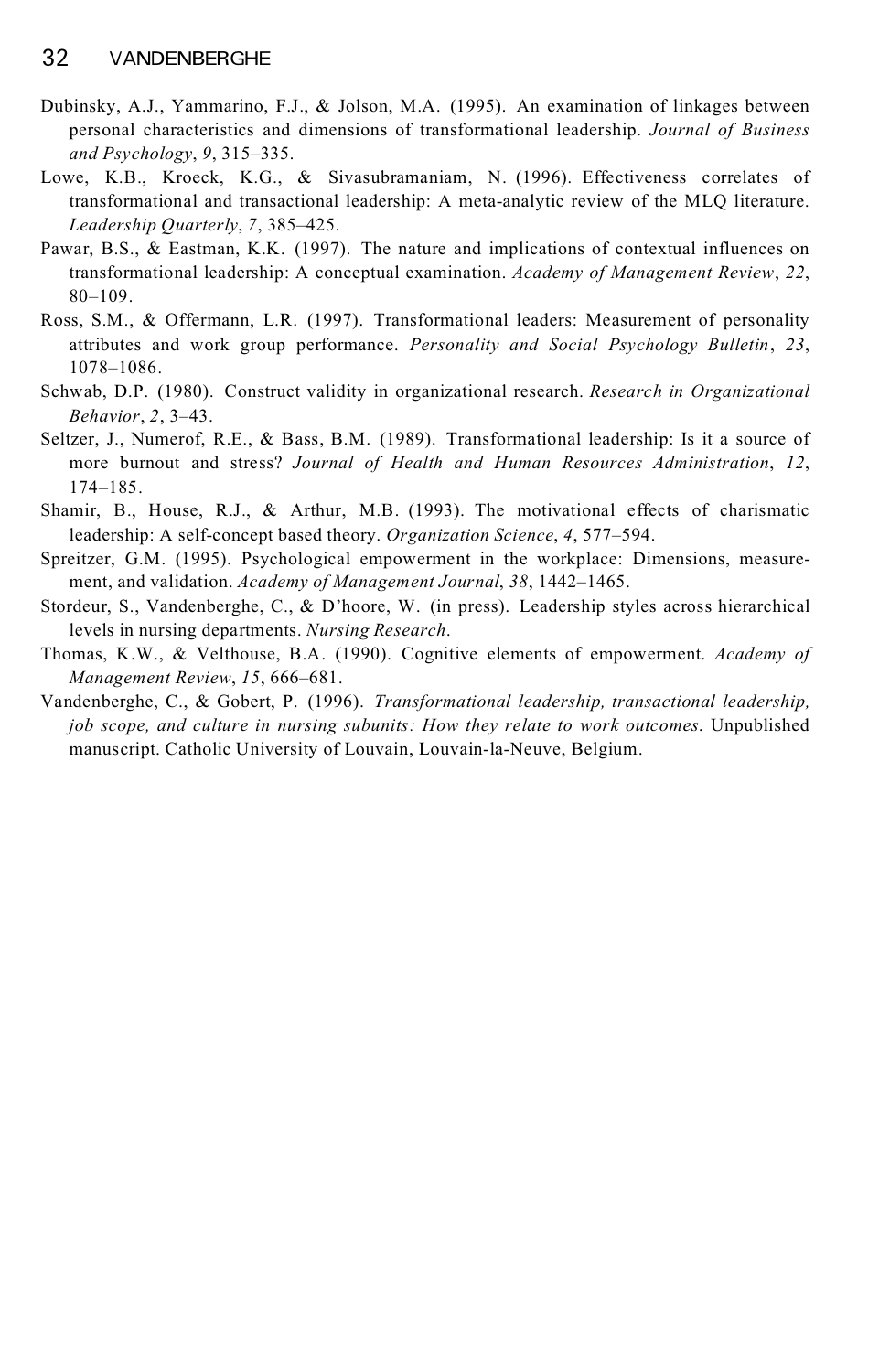- Dubinsky, A.J., Yammarino, F.J., & Jolson, M.A. (1995). An examination of linkages between personal characteristics and dimensions of transformational leadership. *Journal of Business and Psychology*, *9*, 315–335.
- Lowe, K.B., Kroeck, K.G., & Sivasubramaniam, N. (1996). Effectiveness correlates of transformational and transactional leadership: A meta-analytic review of the MLQ literature. *Leadership Quarterly*, *7*, 385–425.
- Pawar, B.S., & Eastman, K.K. (1997). The nature and implications of contextual influences on transformational leadership: A conceptual examination. *Academy of Management Review*, *22*, 80–109.
- Ross, S.M., & Offermann, L.R. (1997). Transformational leaders: Measurement of personality attributes and work group performance. *Personality and Social Psychology Bulletin*, *23*, 1078–1086.
- Schwab, D.P. (1980). Construct validity in organizational research. *Research in Organizational Behavior*, *2*, 3–43.
- Seltzer, J., Numerof, R.E., & Bass, B.M. (1989). Transformational leadership: Is it a source of more burnout and stress? *Journal of Health and Human Resources Administration*, *12*, 174–185.
- Shamir, B., House, R.J., & Arthur, M.B. (1993). The motivational effects of charismatic leadership: A self-concept based theory. *Organization Science*, *4*, 577–594.
- Spreitzer, G.M. (1995). Psychological empowerment in the workplace: Dimensions, measure ment, and validation. *Academy of Management Journal*, *38*, 1442–1465.
- Stordeur, S., Vandenberghe, C., & D'hoore, W. (in press). Leadership styles across hierarchical levels in nursing departments. *Nursing Research*.
- Thomas, K.W., & Velthouse, B.A. (1990). Cognitive elements of empowerment. *Academy of Management Review*, *15*, 666–681.
- Vandenberghe, C., & Gobert, P. (1996). *Transformational leadership, transactional leadership, job scope, and culture in nursing subunits: How they relate to work outcomes*. Unpublished manuscript. Catholic University of Louvain, Louvain-la-Neuve, Belgium.